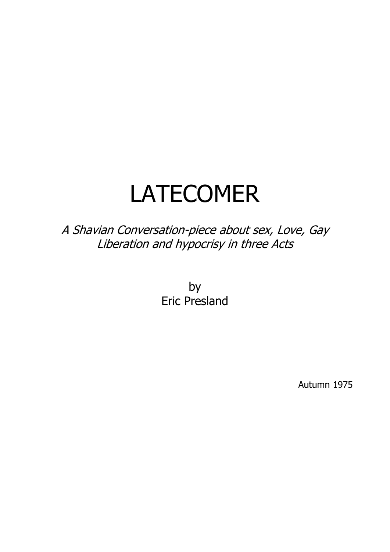# LATECOMER

A Shavian Conversation-piece about sex, Love, Gay Liberation and hypocrisy in three Acts

> by Eric Presland

> > Autumn 1975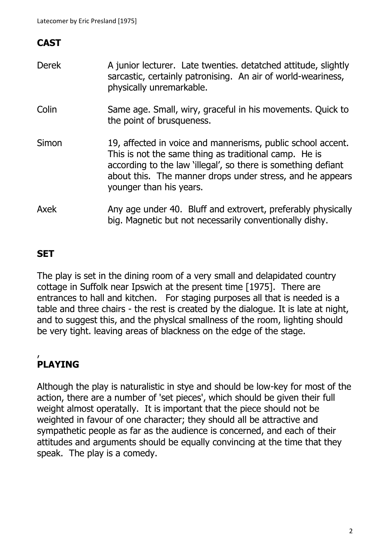# **CAST**

| <b>Derek</b> | A junior lecturer. Late twenties, detatched attitude, slightly<br>sarcastic, certainly patronising. An air of world-weariness,<br>physically unremarkable.                                                                                                                    |
|--------------|-------------------------------------------------------------------------------------------------------------------------------------------------------------------------------------------------------------------------------------------------------------------------------|
| Colin        | Same age. Small, wiry, graceful in his movements. Quick to<br>the point of brusqueness.                                                                                                                                                                                       |
| Simon        | 19, affected in voice and mannerisms, public school accent.<br>This is not the same thing as traditional camp. He is<br>according to the law 'illegal', so there is something defiant<br>about this. The manner drops under stress, and he appears<br>younger than his years. |
| Axek         | Any age under 40. Bluff and extrovert, preferably physically<br>big. Magnetic but not necessarily conventionally dishy.                                                                                                                                                       |

# **SET**

The play is set in the dining room of a very small and delapidated country cottage in Suffolk near Ipswich at the present time [1975]. There are entrances to hall and kitchen. For staging purposes all that is needed is a table and three chairs - the rest is created by the dialogue. It is late at night, and to suggest this, and the physlcal smallness of the room, lighting should be very tight. leaving areas of blackness on the edge of the stage.

### , **PLAYING**

Although the play is naturalistic in stye and should be low-key for most of the action, there are a number of 'set pieces', which should be given their full weight almost operatally. It is important that the piece should not be weighted in favour of one character; they should all be attractive and sympathetic people as far as the audience is concerned, and each of their attitudes and arguments should be equally convincing at the time that they speak. The play is a comedy.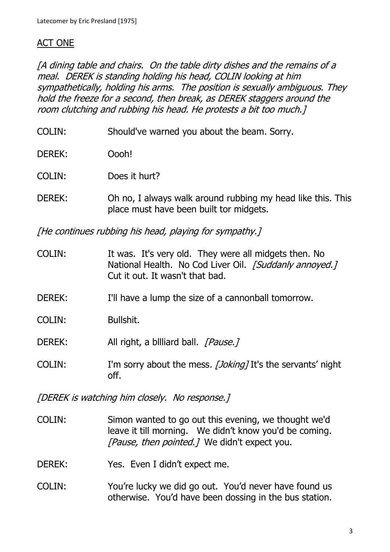# ACT ONE

[A dining table and chairs. On the table dirty dishes and the remains of a meal. DEREK is standing holding his head, COLIN looking at him sympathetically, holding his arms. The position is sexually ambiguous. They hold the freeze for a second, then break, as DEREK staggers around the room clutching and rubbing his head. He protests a bit too much.]

- COLIN: Should've warned you about the beam. Sorry.
- DEREK: Oooh!
- COLIN: Does it hurt?
- DEREK: Oh no, I always walk around rubbing my head like this. This place must have been built tor midgets.

[He continues rubbing his head, playing for sympathy.]

- COLIN: It was. It's very old. They were all midgets then. No National Health. No Cod Liver Oil. [Suddanly annoyed.] Cut it out. It wasn't that bad.
- DEREK: I'll have a lump the size of a cannonball tomorrow.
- COLIN: Bullshit.
- DEREK: All right, a billiard ball. [Pause.]
- COLIN: I'm sorry about the mess. [Joking] It's the servants' night off.

[DEREK is watching him closely. No response.]

- COLIN: Simon wanted to go out this evening, we thought we'd leave it till morning. We didn't know you'd be coming. [Pause, then pointed.] We didn't expect you.
- DEREK: Yes. Even I didn't expect me.
- COLIN: You're lucky we did go out. You'd never have found us otherwise. You'd have been dossing in the bus station.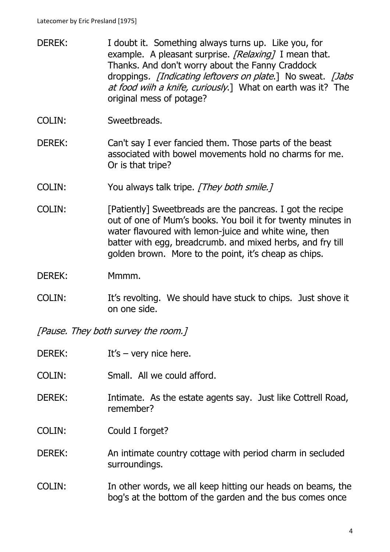- DEREK: I doubt it. Something always turns up. Like you, for example. A pleasant surprise. [Relaxing] I mean that. Thanks. And don't worry about the Fanny Craddock droppings. *[Indicating leftovers on plate.*] No sweat. *[Jabs* at food wiih a knife, curiously.] What on earth was it? The original mess of potage?
- COLIN: Sweetbreads.
- DEREK: Can't say I ever fancied them. Those parts of the beast associated with bowel movements hold no charms for me. Or is that tripe?
- COLIN: You always talk tripe. [They both smile.]
- COLIN: [Patiently] Sweetbreads are the pancreas. I got the recipe out of one of Mum's books. You boil it for twenty minutes in water flavoured with lemon-juice and white wine, then batter with egg, breadcrumb. and mixed herbs, and fry till golden brown. More to the point, it's cheap as chips.
- DEREK: Mmmm.
- COLIN: It's revolting. We should have stuck to chips. Just shove it on one side.

[Pause. They both survey the room.]

- DEREK: It's very nice here.
- COLIN: Small. All we could afford.
- DEREK: Intimate. As the estate agents say. Just like Cottrell Road, remember?
- COLIN: Could I forget?
- DEREK: An intimate country cottage with period charm in secluded surroundings.
- COLIN: In other words, we all keep hitting our heads on beams, the bog's at the bottom of the garden and the bus comes once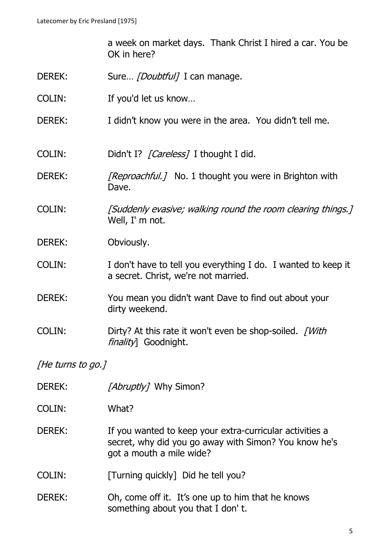a week on market days. Thank Christ I hired a car. You be OK in here?

- DEREK: Sure... *[Doubtful]* I can manage.
- COLIN: If you'd let us know…
- DEREK: I didn't know you were in the area. You didn't tell me.

COLIN: Didn't I? [Careless] I thought I did.

- DEREK: [Reproachful.] No. 1 thought you were in Brighton with Dave.
- COLIN: [Suddenly evasive; walking round the room clearing things.] Well, I' m not.
- DEREK: Obviously.
- COLIN: I don't have to tell you everything I do. I wanted to keep it a secret. Christ, we're not married.
- DEREK: You mean you didn't want Dave to find out about your dirty weekend.
- COLIN: Dirty? At this rate it won't even be shop-soiled. [With finality] Goodnight.

[He turns to go.]

- DEREK: [Abruptly] Why Simon?
- COLIN: What?
- DEREK: If you wanted to keep your extra-curricular activities a secret, why did you go away with Simon? You know he's got a mouth a mile wide?
- COLIN: [Turning quickly] Did he tell you?
- DEREK: Oh, come off it. It's one up to him that he knows something about you that I don' t.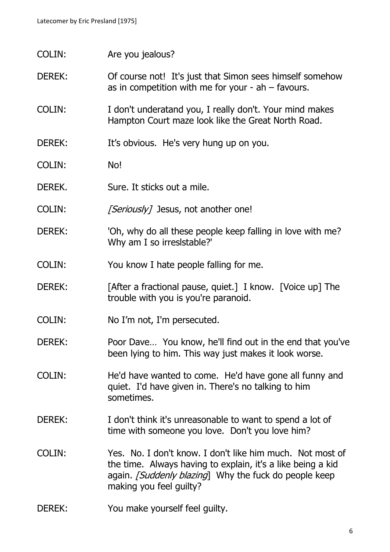- COLIN: Are you jealous?
- DEREK: Of course not! It's just that Simon sees himself somehow as in competition with me for your  $-$  ah  $-$  favours.
- COLIN: I don't underatand you, I really don't. Your mind makes Hampton Court maze look like the Great North Road.
- DEREK: It's obvious. He's very hung up on you.
- COLIN: No!
- DEREK. Sure. It sticks out a mile.
- COLIN: [Seriously] Jesus, not another one!
- DEREK: 'Oh, why do all these people keep falling in love with me? Why am I so irreslstable?'
- COLIN: You know I hate people falling for me.
- DEREK: [After a fractional pause, quiet.] I know. [Voice up] The trouble with you is you're paranoid.
- COLIN: No I'm not, I'm persecuted.
- DEREK: Poor Dave… You know, he'll find out in the end that you've been lying to him. This way just makes it look worse.
- COLIN: He'd have wanted to come. He'd have gone all funny and quiet. I'd have given in. There's no talking to him sometimes.
- DEREK: I don't think it's unreasonable to want to spend a lot of time with someone you love. Don't you love him?
- COLIN: Yes. No. I don't know. I don't like him much. Not most of the time. Always having to explain, it's a like being a kid again. [Suddenly blazing] Why the fuck do people keep making you feel guilty?
- DEREK: You make yourself feel quilty.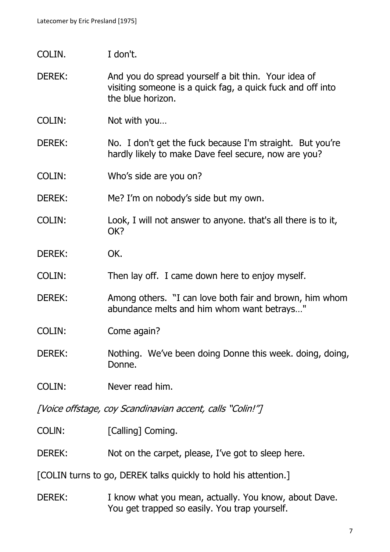- COLIN. I don't.
- DEREK: And you do spread yourself a bit thin. Your idea of visiting someone is a quick fag, a quick fuck and off into the blue horizon.
- COLIN: Not with you…
- DEREK: No. I don't get the fuck because I'm straight. But you're hardly likely to make Dave feel secure, now are you?
- COLIN: Who's side are you on?
- DEREK: Me? I'm on nobody's side but my own.
- COLIN: Look, I will not answer to anyone. that's all there is to it, OK?
- DEREK: OK.
- COLIN: Then lay off. I came down here to enjoy myself.
- DEREK: Among others. "I can love both fair and brown, him whom abundance melts and him whom want betrays…"
- COLIN: Come again?
- DEREK: Nothing. We've been doing Donne this week. doing, doing, Donne.
- COLIN: Never read him.

[Voice offstage, coy Scandinavian accent, calls "Colin!"]

- COLIN: [Calling] Coming.
- DEREK: Not on the carpet, please, I've got to sleep here.

[COLIN turns to go, DEREK talks quickly to hold his attention.]

DEREK: I know what you mean, actually. You know, about Dave. You get trapped so easily. You trap yourself.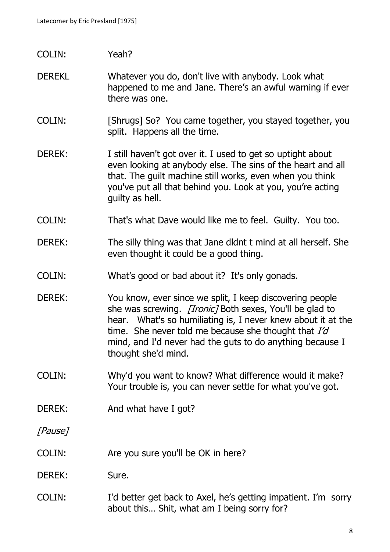# COLIN: Yeah?

#### DEREKL Whatever you do, don't live with anybody. Look what happened to me and Jane. There's an awful warning if ever there was one.

- COLIN: [Shrugs] So? You came together, you stayed together, you split. Happens all the time.
- DEREK: I still haven't got over it. I used to get so uptight about even looking at anybody else. The sins of the heart and all that. The guilt machine still works, even when you think you've put all that behind you. Look at you, you're acting guilty as hell.
- COLIN: That's what Dave would like me to feel. Guilty. You too.
- DEREK: The silly thing was that Jane didnt t mind at all herself. She even thought it could be a good thing.
- COLIN: What's good or bad about it? It's only gonads.
- DEREK: You know, ever since we split, I keep discovering people she was screwing. *[Ironic]* Both sexes, You'll be glad to hear. What's so humiliating is, I never knew about it at the time. She never told me because she thought that  $Id$ mind, and I'd never had the guts to do anything because I thought she'd mind.
- COLIN: Why'd you want to know? What difference would it make? Your trouble is, you can never settle for what you've got.
- DEREK: And what have I got?

[Pause]

COLIN: Are you sure you'll be OK in here?

#### DEREK: Sure.

COLIN: I'd better get back to Axel, he's getting impatient. I'm sorry about this… Shit, what am I being sorry for?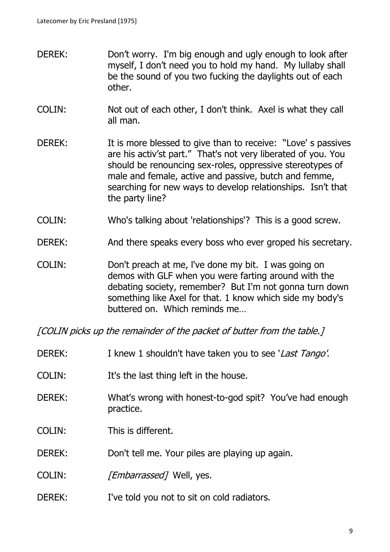- DEREK: Don't worry. I'm big enough and ugly enough to look after myself, I don't need you to hold my hand. My lullaby shall be the sound of you two fucking the daylights out of each other.
- COLIN: Not out of each other, I don't think. Axel is what they call all man.
- DEREK: It is more blessed to give than to receive: "Love' s passives are his activ'st part." That's not very liberated of you. You should be renouncing sex-roles, oppressive stereotypes of male and female, active and passive, butch and femme, searching for new ways to develop relationships. Isn't that the party line?
- COLIN: Who's talking about 'relationships'? This is a good screw.
- DEREK: And there speaks every boss who ever groped his secretary.
- COLIN: Don't preach at me, l've done my bit. I was going on demos with GLF when you were farting around with the debating society, remember? But I'm not gonna turn down something like Axel for that. 1 know which side my body's buttered on. Which reminds me…

[COLIN picks up the remainder of the packet of butter from the table.]

| <b>DEREK:</b> | I knew 1 shouldn't have taken you to see 'Last Tango'.               |
|---------------|----------------------------------------------------------------------|
| COLIN:        | It's the last thing left in the house.                               |
| <b>DEREK:</b> | What's wrong with honest-to-god spit? You've had enough<br>practice. |
| COLIN:        | This is different.                                                   |
| <b>DEREK:</b> | Don't tell me. Your piles are playing up again.                      |
| COLIN:        | <i>[Embarrassed]</i> Well, yes.                                      |
| <b>DEREK:</b> | I've told you not to sit on cold radiators.                          |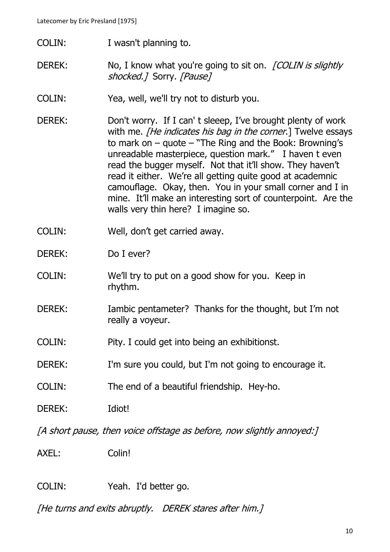Latecomer by Eric Presland [1975]

- COLIN: I wasn't planning to.
- DEREK: No, I know what you're going to sit on. *[COLIN is slightly* shocked.] Sorry. [Pause]
- COLIN: Yea, well, we'll try not to disturb you.
- DEREK: Don't worry. If I can't sleeep, I've brought plenty of work with me. *[He indicates his bag in the corner*.] Twelve essays to mark on  $-$  quote  $-$  "The Ring and the Book: Browning's unreadable masterpiece, question mark." I haven t even read the bugger myself. Not that it'll show. They haven't read it either. We're all getting quite good at academnic camouflage. Okay, then. You in your small corner and I in mine. It'll make an interesting sort of counterpoint. Are the walls very thin here? I imagine so.
- COLIN: Well, don't get carried away.
- DEREK: Do I ever?
- COLIN: We'll try to put on a good show for you. Keep in rhythm.
- DEREK: Iambic pentameter? Thanks for the thought, but I'm not really a voyeur.
- COLIN: Pity. I could get into being an exhibitionst.
- DEREK: I'm sure you could, but I'm not going to encourage it.
- COLIN: The end of a beautiful friendship. Hey-ho.
- DEREK: Idiot!

[A short pause, then voice offstage as before, now slightly annoyed:]

AXEL: Colin!

COLIN: Yeah. I'd better go.

[He turns and exits abruptly. DEREK stares after him.]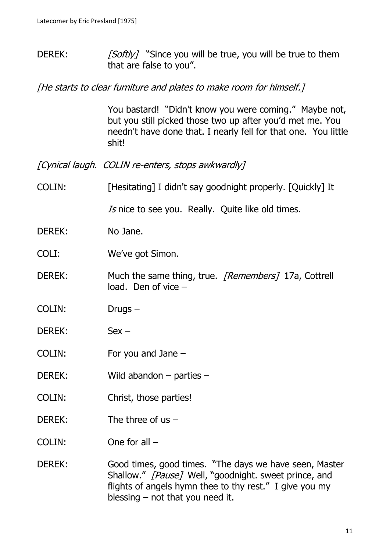DEREK:  $[Softly]$  "Since you will be true, you will be true to them that are false to you".

[He starts to clear furniture and plates to make room for himself.]

You bastard! "Didn't know you were coming." Maybe not, but you still picked those two up after you'd met me. You needn't have done that. I nearly fell for that one. You little shit!

[Cynical laugh. COLIN re-enters, stops awkwardly]

COLIN: [Hesitating] I didn't say goodnight properly. [Quickly] It

Is nice to see you. Really. Quite like old times.

DEREK: No Jane.

COLI: We've got Simon.

- DEREK: Much the same thing, true. [Remembers] 17a, Cottrell load. Den of vice –
- COLIN: Drugs –
- DEREK: Sex –
- COLIN: For you and Jane –
- DEREK: Wild abandon parties –
- COLIN: Christ, those parties!
- DEREK: The three of us –
- COLIN: One for all –
- DEREK: Good times, good times. "The days we have seen, Master Shallow." [Pause] Well, "goodnight. sweet prince, and flights of angels hymn thee to thy rest." I give you my blessing  $-$  not that you need it.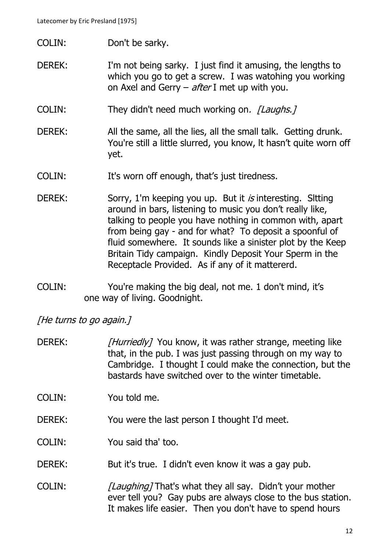- COLIN: Don't be sarky.
- DEREK: I'm not being sarky. I just find it amusing, the lengths to which you go to get a screw. I was watohing you working on Axel and Gerry  $-$  after I met up with you.
- COLIN: They didn't need much working on. [Laughs.]
- DEREK: All the same, all the lies, all the small talk. Getting drunk. You're still a little slurred, you know, It hasn't quite worn off yet.
- COLIN: It's worn off enough, that's just tiredness.
- DEREK: Sorry, 1'm keeping you up. But it *is* interesting. Sitting around in bars, listening to music you don't really like, talking to people you have nothing in common with, apart from being gay - and for what? To deposit a spoonful of fluid somewhere. It sounds like a sinister plot by the Keep Britain Tidy campaign. Kindly Deposit Your Sperm in the Receptacle Provided. As if any of it mattererd.
- COLIN: You're making the big deal, not me. 1 don't mind, it's one way of living. Goodnight.

[He turns to go again.]

DEREK: [Hurriedly] You know, it was rather strange, meeting like that, in the pub. I was just passing through on my way to Cambridge. I thought I could make the connection, but the bastards have switched over to the winter timetable.

COLIN: You told me.

- DEREK: You were the last person I thought I'd meet.
- COLIN: You said tha' too.
- DEREK: But it's true. I didn't even know it was a gay pub.
- COLIN: [Laughing] That's what they all say. Didn't your mother ever tell you? Gay pubs are always close to the bus station. It makes life easier. Then you don't have to spend hours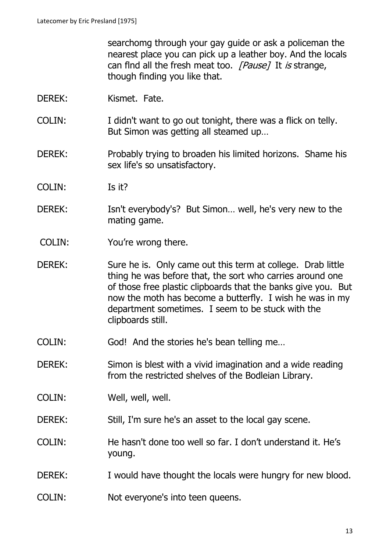searchomg through your gay guide or ask a policeman the nearest place you can pick up a leather boy. And the locals can flnd all the fresh meat too. [Pause] It is strange, though finding you like that.

- DEREK: Kismet. Fate.
- COLIN: I didn't want to go out tonight, there was a flick on telly. But Simon was getting all steamed up…
- DEREK: Probably trying to broaden his limited horizons. Shame his sex life's so unsatisfactory.
- COLIN: Is it?
- DEREK: Isn't everybody's? But Simon... well, he's very new to the mating game.
- COLIN: You're wrong there.
- DEREK: Sure he is. Only came out this term at college. Drab little thing he was before that, the sort who carries around one of those free plastic clipboards that the banks give you. But now the moth has become a butterfly. I wish he was in my department sometimes. I seem to be stuck with the clipboards still.
- COLIN: God! And the stories he's bean telling me…
- DEREK: Simon is blest with a vivid imagination and a wide reading from the restricted shelves of the Bodleian Library.
- COLIN: Well, well, well.
- DEREK: Still, I'm sure he's an asset to the local gay scene.
- COLIN: He hasn't done too well so far. I don't understand it. He's young.
- DEREK: I would have thought the locals were hungry for new blood.
- COLIN: Not everyone's into teen queens.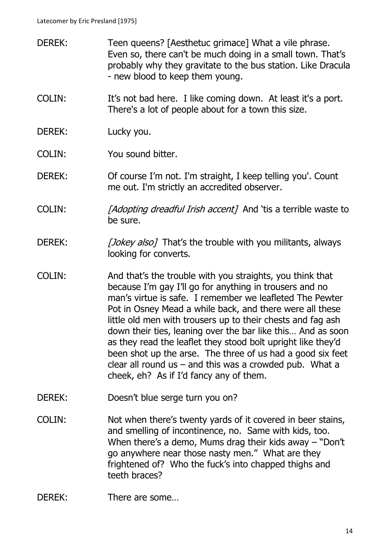- DEREK: Teen queens? [Aesthetuc grimace] What a vile phrase. Even so, there can't be much doing in a small town. That's probably why they gravitate to the bus station. Like Dracula - new blood to keep them young.
- COLIN: It's not bad here. I like coming down. At least it's a port. There's a lot of people about for a town this size.
- DEREK: Lucky you.
- COLIN: You sound bitter.
- DEREK: Of course I'm not. I'm straight, I keep telling you'. Count me out. I'm strictly an accredited observer.
- COLIN: [Adopting dreadful Irish accent] And 'tis a terrible waste to be sure.
- DEREK: [Jokey also] That's the trouble with you militants, always looking for converts.
- COLIN: And that's the trouble with you straights, you think that because I'm gay I'll go for anything in trousers and no man's virtue is safe. I remember we leafleted The Pewter Pot in Osney Mead a while back, and there were all these little old men with trousers up to their chests and fag ash down their ties, leaning over the bar like this… And as soon as they read the leaflet they stood bolt upright like they'd been shot up the arse. The three of us had a good six feet clear all round us  $-$  and this was a crowded pub. What a cheek, eh? As if I'd fancy any of them.
- DEREK: Doesn't blue serge turn you on?
- COLIN: Not when there's twenty yards of it covered in beer stains, and smelling of incontinence, no. Same with kids, too. When there's a demo, Mums drag their kids away – "Don't go anywhere near those nasty men." What are they frightened of? Who the fuck's into chapped thighs and teeth braces?
- DEREK: There are some...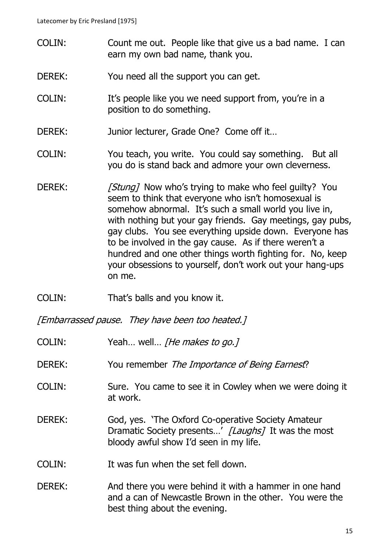- COLIN: Count me out. People like that give us a bad name. I can earn my own bad name, thank you.
- DEREK: You need all the support you can get.
- COLIN: It's people like you we need support from, you're in a position to do something.
- DEREK: Junior lecturer, Grade One? Come off it...
- COLIN: You teach, you write. You could say something. But all you do is stand back and admore your own cleverness.
- DEREK: [Stung] Now who's trying to make who feel guilty? You seem to think that everyone who isn't homosexual is somehow abnormal. It's such a small world you live in, with nothing but your gay friends. Gay meetings, gay pubs, gay clubs. You see everything upside down. Everyone has to be involved in the gay cause. As if there weren't a hundred and one other things worth fighting for. No, keep your obsessions to yourself, don't work out your hang-ups on me.
- COLIN: That's balls and you know it.

[Embarrassed pause. They have been too heated.]

- COLIN: Yeah... well... *[He makes to go.]*
- DEREK: You remember The Importance of Being Earnest?
- COLIN: Sure. You came to see it in Cowley when we were doing it at work.
- DEREK: God, yes. 'The Oxford Co-operative Society Amateur Dramatic Society presents...' [Laughs] It was the most bloody awful show I'd seen in my life.
- COLIN: It was fun when the set fell down.
- DEREK: And there you were behind it with a hammer in one hand and a can of Newcastle Brown in the other. You were the best thing about the evening.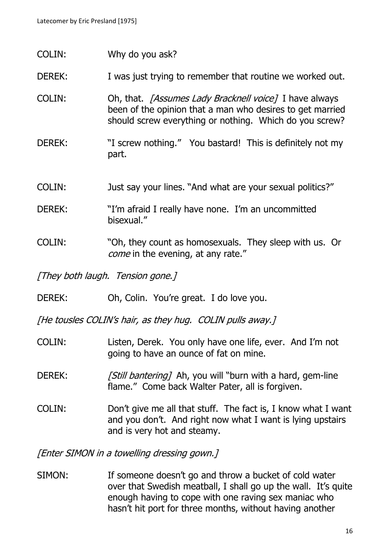- COLIN: Why do you ask?
- DEREK: I was just trying to remember that routine we worked out.
- COLIN: Oh, that. [Assumes Lady Bracknell voice] I have always been of the opinion that a man who desires to get married should screw everything or nothing. Which do you screw?
- DEREK: "I screw nothing." You bastard! This is definitely not my part.
- COLIN: Just say your lines. "And what are your sexual politics?"
- DEREK: "I'm afraid I really have none. I'm an uncommitted bisexual."
- COLIN: "Oh, they count as homosexuals. They sleep with us. Or come in the evening, at any rate."

[They both laugh. Tension gone.]

DEREK: Oh, Colin. You're great. I do love you.

[He tousles COLIN's hair, as they hug. COLIN pulls away.]

- COLIN: Listen, Derek. You only have one life, ever. And I'm not going to have an ounce of fat on mine.
- DEREK: [Still bantering] Ah, you will "burn with a hard, gem-line flame." Come back Walter Pater, all is forgiven.
- COLIN: Don't give me all that stuff. The fact is, I know what I want and you don't. And right now what I want is lying upstairs and is very hot and steamy.

[Enter SIMON in a towelling dressing gown.]

SIMON: If someone doesn't go and throw a bucket of cold water over that Swedish meatball, I shall go up the wall. It's quite enough having to cope with one raving sex maniac who hasn't hit port for three months, without having another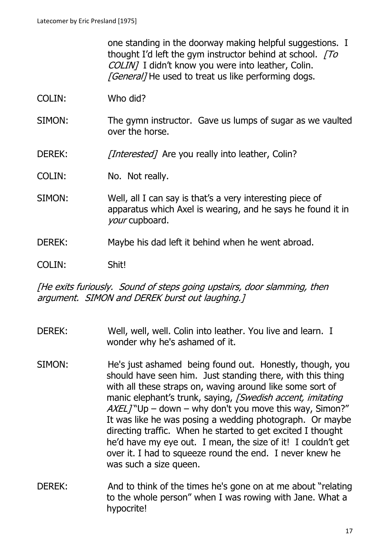one standing in the doorway making helpful suggestions. I thought I'd left the gym instructor behind at school.  $T\sigma$ COLIN] I didn't know you were into leather, Colin. **[General]** He used to treat us like performing dogs.

- COLIN: Who did?
- SIMON: The gymn instructor. Gave us lumps of sugar as we vaulted over the horse.
- DEREK: [Interested] Are you really into leather, Colin?
- COLIN: No. Not really.
- SIMON: Well, all I can say is that's a very interesting piece of apparatus which Axel is wearing, and he says he found it in your cupboard.
- DEREK: Maybe his dad left it behind when he went abroad.

COLIN: Shit!

[He exits furiously. Sound of steps going upstairs, door slamming, then argument. SIMON and DEREK burst out laughing.]

- DEREK: Well, well, well. Colin into leather. You live and learn. I wonder why he's ashamed of it.
- SIMON: He's just ashamed being found out. Honestly, though, you should have seen him. Just standing there, with this thing with all these straps on, waving around like some sort of manic elephant's trunk, saying, *[Swedish accent, imitating*]  $AXELJ"Up - down - why don't you move this way, Simon?"$ It was like he was posing a wedding photograph. Or maybe directing traffic. When he started to get excited I thought he'd have my eye out. I mean, the size of it! I couldn't get over it. I had to squeeze round the end. I never knew he was such a size queen.
- DEREK: And to think of the times he's gone on at me about "relating to the whole person" when I was rowing with Jane. What a hypocrite!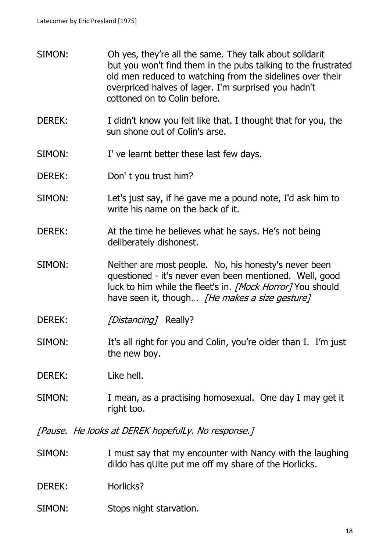- SIMON: Oh yes, they're all the same. They talk about solldarit but you won't find them in the pubs talking to the frustrated old men reduced to watching from the sidelines over their overpriced halves of lager. I'm surprised you hadn't cottoned on to Colin before.
- DEREK: I didn't know you felt like that. I thought that for you, the sun shone out of Colin's arse.
- SIMON: I' ve learnt better these last few days.
- DEREK: Don't you trust him?
- SIMON: Let's just say, if he gave me a pound note, I'd ask him to write his name on the back of it.
- DEREK: At the time he believes what he says. He's not being deliberately dishonest.
- SIMON: Neither are most people. No, his honesty's never been questioned - it's never even been mentioned. Well, good luck to him while the fleet's in. [Mock Horror] You should have seen it, though... *[He makes a size gesture]*
- DEREK: [Distancing] Really?
- SIMON: It's all right for you and Colin, you're older than I. I'm just the new boy.

DEREK: Like hell.

SIMON: I mean, as a practising homosexual. One day I may get it right too.

[Pause. He looks at DEREK hopefulLy. No response.]

- SIMON: I must say that my encounter with Nancy with the laughing dildo has qUite put me off my share of the Horlicks.
- DEREK: Horlicks?
- SIMON: Stops night starvation.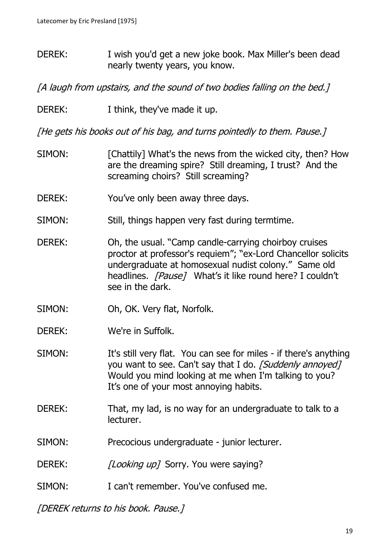DEREK: I wish you'd get a new joke book. Max Miller's been dead nearly twenty years, you know.

[A laugh from upstairs, and the sound of two bodies falling on the bed.]

DEREK: I think, they've made it up.

[He gets his books out of his bag, and turns pointedly to them. Pause.]

- SIMON: [Chattily] What's the news from the wicked city, then? How are the dreaming spire? Still dreaming, I trust? And the screaming choirs? Still screaming?
- DEREK: You've only been away three days.
- SIMON: Still, things happen very fast during termtime.
- DEREK: Oh, the usual. "Camp candle-carrying choirboy cruises proctor at professor's requiem"; "ex-Lord Chancellor solicits undergraduate at homosexual nudist colony." Same old headlines. [Pause] What's it like round here? I couldn't see in the dark.
- SIMON: Oh, OK. Very flat, Norfolk.
- DEREK: We're in Suffolk.
- SIMON: It's still very flat. You can see for miles if there's anything you want to see. Can't say that I do. [Suddenly annoyed] Would you mind looking at me when I'm talking to you? It's one of your most annoying habits.
- DEREK: That, my lad, is no way for an undergraduate to talk to a lecturer.
- SIMON: Precocious undergraduate junior lecturer.
- DEREK: [Looking up] Sorry. You were saying?
- SIMON: I can't remember. You've confused me.

[DEREK returns to his book. Pause.]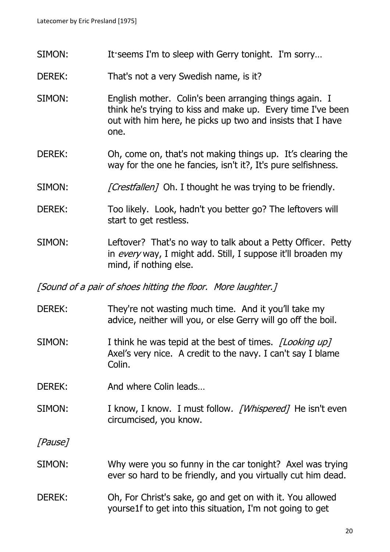- SIMON: It seems I'm to sleep with Gerry tonight. I'm sorry...
- DEREK: That's not a very Swedish name, is it?
- SIMON: English mother. Colin's been arranging things again. I think he's trying to kiss and make up. Every time I've been out with him here, he picks up two and insists that I have one.
- DEREK: Oh, come on, that's not making things up. It's clearing the way for the one he fancies, isn't it?, It's pure selfishness.
- SIMON: [Crestfallen] Oh. I thought he was trying to be friendly.
- DEREK: Too likely. Look, hadn't you better go? The leftovers will start to get restless.
- SIMON: Leftover? That's no way to talk about a Petty Officer. Petty in every way, I might add. Still, I suppose it'll broaden my mind, if nothing else.

[Sound of a pair of shoes hitting the floor. More laughter.]

- DEREK: They're not wasting much time. And it you'll take my advice, neither will you, or else Gerry will go off the boil.
- SIMON: I think he was tepid at the best of times. *[Looking up]* Axel's very nice. A credit to the navy. I can't say I blame Colin.
- DEREK: And where Colin leads...
- SIMON: I know, I know. I must follow. [Whispered] He isn't even circumcised, you know.

[Pause]

- SIMON: Why were you so funny in the car tonight? Axel was trying ever so hard to be friendly, and you virtually cut him dead.
- DEREK: Oh, For Christ's sake, go and get on with it. You allowed yourse1f to get into this situation, I'm not going to get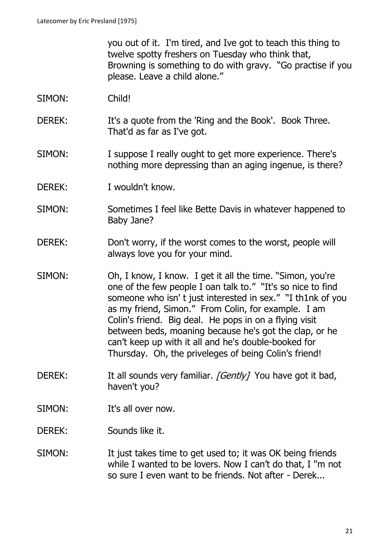you out of it. I'm tired, and Ive got to teach this thing to twelve spotty freshers on Tuesday who think that, Browning is something to do with gravy. "Go practise if you please. Leave a child alone."

- SIMON: Child!
- DEREK: It's a quote from the 'Ring and the Book'. Book Three. That'd as far as I've got.
- SIMON: I suppose I really ought to get more experience. There's nothing more depressing than an aging ingenue, is there?
- DEREK: I wouldn't know.
- SIMON: Sometimes I feel like Bette Davis in whatever happened to Baby Jane?
- DEREK: Don't worry, if the worst comes to the worst, people will always love you for your mind.
- SIMON: Oh, I know, I know. I get it all the time. "Simon, you're one of the few people I oan talk to." "It's so nice to find someone who isn't just interested in sex." "I th1nk of you as my friend, Simon." From Colin, for example. I am Colin's friend. Big deal. He pops in on a flying visit between beds, moaning because he's got the clap, or he can't keep up with it all and he's double-booked for Thursday. Oh, the priveleges of being Colin's friend!
- DEREK: It all sounds very familiar. [Gently] You have got it bad, haven't you?
- SIMON: It's all over now.
- DEREK: Sounds like it.
- SIMON: It just takes time to get used to; it was OK being friends while I wanted to be lovers. Now I can't do that, I ''m not so sure I even want to be friends. Not after - Derek...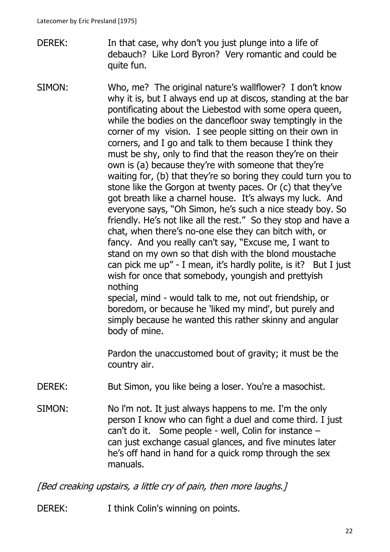- DEREK: In that case, why don't you just plunge into a life of debauch? Like Lord Byron? Very romantic and could be quite fun.
- SIMON: Who, me? The original nature's wallflower? I don't know why it is, but I always end up at discos, standing at the bar pontificating about the Liebestod with some opera queen, while the bodies on the dancefloor sway temptingly in the corner of my vision. I see people sitting on their own in corners, and I go and talk to them because I think they must be shy, only to find that the reason they're on their own is (a) because they're with someone that they're waiting for, (b) that they're so boring they could turn you to stone like the Gorgon at twenty paces. Or (c) that they've got breath like a charnel house. It's always my luck. And everyone says, "Oh Simon, he's such a nice steady boy. So friendly. He's not like all the rest." So they stop and have a chat, when there's no-one else they can bitch with, or fancy. And you really can't say, "Excuse me, I want to stand on my own so that dish with the blond moustache can pick me up" - I mean, it's hardly polite, is it? But I just wish for once that somebody, youngish and prettyish nothing special, mind - would talk to me, not out friendship, or boredom, or because he 'liked my mind', but purely and

simply because he wanted this rather skinny and angular body of mine.

Pardon the unaccustomed bout of gravity; it must be the country air.

- DEREK: But Simon, you like being a loser. You're a masochist.
- SIMON: No l'm not. It just always happens to me. I'm the only person I know who can fight a duel and come third. I just can't do it. Some people - well, Colin for instance  $$ can just exchange casual glances, and five minutes later he's off hand in hand for a quick romp through the sex manuals.

[Bed creaking upstairs, a little cry of pain, then more laughs.]

DEREK: I think Colin's winning on points.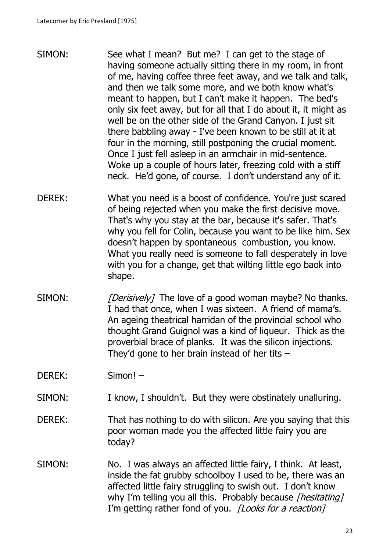- SIMON: See what I mean? But me? I can get to the stage of having someone actually sitting there in my room, in front of me, having coffee three feet away, and we talk and talk, and then we talk some more, and we both know what's meant to happen, but I can't make it happen. The bed's only six feet away, but for all that I do about it, it might as well be on the other side of the Grand Canyon. I just sit there babbling away - I've been known to be still at it at four in the morning, still postponing the crucial moment. Once I just fell asleep in an armchair in mid-sentence. Woke up a couple of hours later, freezing cold with a stiff neck. He'd gone, of course. I don't understand any of it.
- DEREK: What you need is a boost of confidence. You're just scared of being rejected when you make the first decisive move. That's why you stay at the bar, because it's safer. That's why you fell for Colin, because you want to be like him. Sex doesn't happen by spontaneous combustion, you know. What you really need is someone to fall desperately in love with you for a change, get that wilting little ego baok into shape.
- SIMON: [Derisively] The love of a good woman maybe? No thanks. I had that once, when I was sixteen. A friend of mama's. An ageing theatrical harridan of the provincial school who thought Grand Guignol was a kind of liqueur. Thick as the proverbial brace of planks. It was the silicon injections. They'd gone to her brain instead of her tits  $-$

DEREK: Simon! –

- SIMON: I know, I shouldn't. But they were obstinately unalluring.
- DEREK: That has nothing to do with silicon. Are you saying that this poor woman made you the affected little fairy you are today?
- SIMON: No. I was always an affected little fairy, I think. At least, inside the fat grubby schoolboy I used to be, there was an affected little fairy struggling to swish out. I don't know why I'm telling you all this. Probably because [hesitating] I'm getting rather fond of you. *[Looks for a reaction]*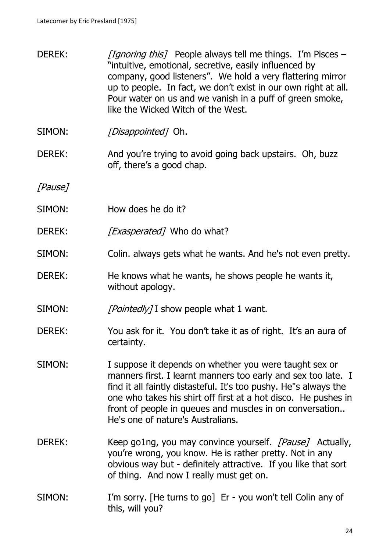- DEREK: [Ignoring this] People always tell me things. I'm Pisces "intuitive, emotional, secretive, easily influenced by company, good listeners". We hold a very flattering mirror up to people. In fact, we don't exist in our own right at all. Pour water on us and we vanish in a puff of green smoke, like the Wicked Witch of the West.
- SIMON: *[Disappointed]* Oh.
- DEREK: And you're trying to avoid going back upstairs. Oh, buzz off, there's a good chap.

[Pause]

- SIMON: How does he do it?
- DEREK: [*Exasperated*] Who do what?
- SIMON: Colin. always gets what he wants. And he's not even pretty.
- DEREK: He knows what he wants, he shows people he wants it, without apology.
- SIMON:  $[Pointedly]$  I show people what 1 want.
- DEREK: You ask for it. You don't take it as of right. It's an aura of certainty.
- SIMON: I suppose it depends on whether you were taught sex or manners first. I learnt manners too early and sex too late. I find it all faintly distasteful. It's too pushy. He"s always the one who takes his shirt off first at a hot disco. He pushes in front of people in queues and muscles in on conversation.. He's one of nature's Australians.
- DEREK: Keep go1ng, you may convince yourself. [Pause] Actually, you're wrong, you know. He is rather pretty. Not in any obvious way but - definitely attractive. If you like that sort of thing. And now I really must get on.
- SIMON: I'm sorry. [He turns to go] Er you won't tell Colin any of this, will you?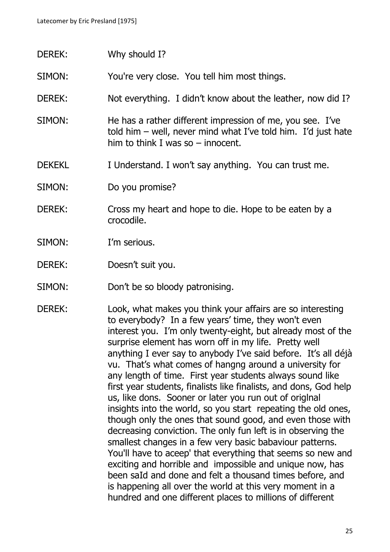- DEREK: Why should I?
- SIMON: You're very close. You tell him most things.
- DEREK: Not everything. I didn't know about the leather, now did I?
- SIMON: He has a rather different impression of me, you see. I've told him – well, never mind what I've told him. I'd just hate him to think I was so – innocent.
- DEKEKL I Understand. I won't say anything. You can trust me.
- SIMON: Do you promise?
- DEREK: Cross my heart and hope to die. Hope to be eaten by a crocodile.
- SIMON: I'm serious.
- DEREK: Doesn't suit you.
- SIMON: Don't be so bloody patronising.
- DEREK: Look, what makes you think your affairs are so interesting to everybody? In a few years' time, they won't even interest you. I'm only twenty-eight, but already most of the surprise element has worn off in my life. Pretty well anything I ever say to anybody I've said before. It's all déjà vu. That's what comes of hangng around a university for any length of time. First year students always sound like first year students, finalists like finalists, and dons, God help us, like dons. Sooner or later you run out of origlnal insights into the world, so you start repeating the old ones, though only the ones that sound good, and even those with decreasing conviction. The only fun left is in observing the smallest changes in a few very basic babaviour patterns. You'll have to aceep' that everything that seems so new and exciting and horrible and impossible and unique now, has been saId and done and felt a thousand times before, and is happening all over the world at this very moment in a hundred and one different places to millions of different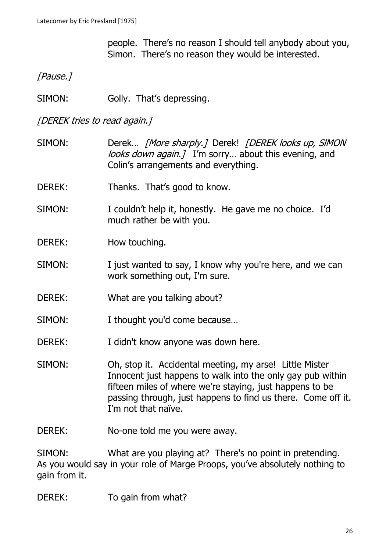people. There's no reason I should tell anybody about you, Simon. There's no reason they would be interested.

[Pause.]

SIMON: Golly. That's depressing.

# [DEREK tries to read again.]

- SIMON: Derek... [More sharply.] Derek! [DEREK looks up, SIMON looks down again.] I'm sorry... about this evening, and Colin's arrangements and everything.
- DEREK: Thanks. That's good to know.
- SIMON: I couldn't help it, honestly. He gave me no choice. I'd much rather be with you.
- DEREK: How touching.
- SIMON: I just wanted to say, I know why you're here, and we can work something out, I'm sure.
- DEREK: What are you talking about?
- SIMON: I thought you'd come because...
- DEREK: I didn't know anyone was down here.
- SIMON: Oh, stop it. Accidental meeting, my arse! Little Mister Innocent just happens to walk into the only gay pub within fifteen miles of where we're staying, just happens to be passing through, just happens to find us there. Come off it. I'm not that naïve.
- DEREK: No-one told me you were away.

SIMON: What are you playing at? There's no point in pretending. As you would say in your role of Marge Proops, you've absolutely nothing to gain from it.

#### DEREK: To gain from what?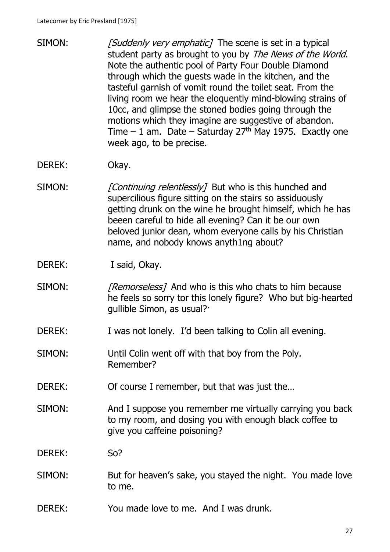- SIMON: [Suddenly very emphatic] The scene is set in a typical student party as brought to you by The News of the World. Note the authentic pool of Party Four Double Diamond through which the guests wade in the kitchen, and the tasteful garnish of vomit round the toilet seat. From the living room we hear the eloquently mind-blowing strains of 10cc, and glimpse the stoned bodies going through the motions which they imagine are suggestive of abandon. Time – 1 am. Date – Saturday  $27<sup>th</sup>$  May 1975. Exactly one week ago, to be precise.
- DEREK: Okay.
- SIMON: [Continuing relentlessly] But who is this hunched and supercilious figure sitting on the stairs so assiduously getting drunk on the wine he brought himself, which he has beeen careful to hide all evening? Can it be our own beloved junior dean, whom everyone calls by his Christian name, and nobody knows anyth1ng about?

DEREK: I said, Okay.

- SIMON: [Remorseless] And who is this who chats to him because he feels so sorry tor this lonely figure? Who but big-hearted gullible Simon, as usual?·
- DEREK: I was not lonely. I'd been talking to Colin all evening.
- SIMON: Until Colin went off with that boy from the Poly. Remember?
- DEREK: Of course I remember, but that was just the...
- SIMON: And I suppose you remember me virtually carrying you back to my room, and dosing you with enough black coffee to give you caffeine poisoning?

#### DEREK: So?

- SIMON: But for heaven's sake, you stayed the night. You made love to me.
- DEREK: You made love to me. And I was drunk.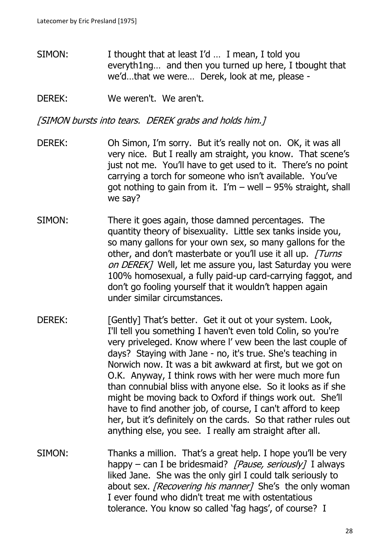SIMON: I thought that at least I'd ... I mean, I told you everyth1ng… and then you turned up here, I tbought that we'd…that we were… Derek, look at me, please -

DEREK: We weren't. We aren't.

[SIMON bursts into tears. DEREK grabs and holds him.]

- DEREK: Oh Simon, I'm sorry. But it's really not on. OK, it was all very nice. But I really am straight, you know. That scene's just not me. You'll have to get used to it. There's no point carrying a torch for someone who isn't available. You've got nothing to gain from it.  $I'm - well - 95\%$  straight, shall we say?
- SIMON: There it goes again, those damned percentages. The quantity theory of bisexuality. Little sex tanks inside you, so many gallons for your own sex, so many gallons for the other, and don't masterbate or you'll use it all up. [Turns] on DEREK] Well, let me assure you, last Saturday you were 100% homosexual, a fully paid-up card-carrying faggot, and don't go fooling yourself that it wouldn't happen again under similar circumstances.
- DEREK: [Gently] That's better. Get it out ot your system. Look, I'll tell you something I haven't even told Colin, so you're very priveleged. Know where l' vew been the last couple of days? Staying with Jane - no, it's true. She's teaching in Norwich now. It was a bit awkward at first, but we got on O.K. Anyway, I think rows with her were much more fun than connubial bliss with anyone else. So it looks as if she might be moving back to Oxford if things work out. She'll have to find another job, of course, I can't afford to keep her, but it's definitely on the cards. So that rather rules out anything else, you see. I really am straight after all.
- SIMON: Thanks a million. That's a great help. I hope you'll be very happy – can I be bridesmaid? [Pause, seriously] I always liked Jane. She was the only girl I could talk seriously to about sex. *[Recovering his manner]* She's the only woman I ever found who didn't treat me with ostentatious tolerance. You know so called 'fag hags', of course? I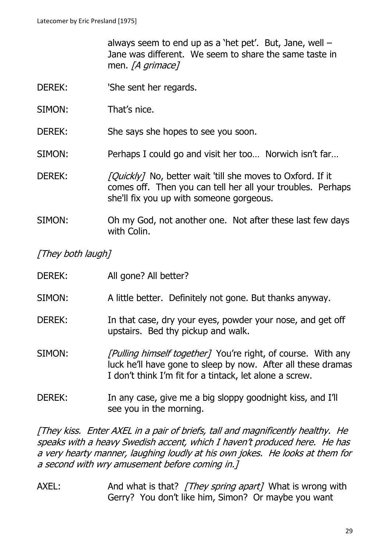always seem to end up as a 'het pet'. But, Jane, well  $-$ Jane was different. We seem to share the same taste in men. *[A grimace]* 

- DEREK: 'She sent her regards.
- SIMON: That's nice.

DEREK: She says she hopes to see you soon.

- SIMON: Perhaps I could go and visit her too… Norwich isn't far…
- DEREK: [Quickly] No, better wait 'till she moves to Oxford. If it comes off. Then you can tell her all your troubles. Perhaps she'll fix you up with someone gorgeous.
- SIMON: Oh my God, not another one. Not after these last few days with Colin.

[They both laugh]

| DEREK: | All gone? All better?                                                                                                                                                                          |
|--------|------------------------------------------------------------------------------------------------------------------------------------------------------------------------------------------------|
| SIMON: | A little better. Definitely not gone. But thanks anyway.                                                                                                                                       |
| DEREK: | In that case, dry your eyes, powder your nose, and get off<br>upstairs. Bed thy pickup and walk.                                                                                               |
| SIMON: | <i>[Pulling himself together]</i> You're right, of course. With any<br>luck he'll have gone to sleep by now. After all these dramas<br>I don't think I'm fit for a tintack, let alone a screw. |
| DEREK: | In any case, give me a big sloppy goodnight kiss, and I'll                                                                                                                                     |

[They kiss. Enter AXEL in a pair of briefs, tall and magnificently healthy. He speaks with a heavy Swedish accent, which I haven't produced here. He has a very hearty manner, laughing loudly at his own jokes. He looks at them for a second with wry amusement before coming in.]

see you in the morning.

AXEL: And what is that? [They spring apart] What is wrong with Gerry? You don't like him, Simon? Or maybe you want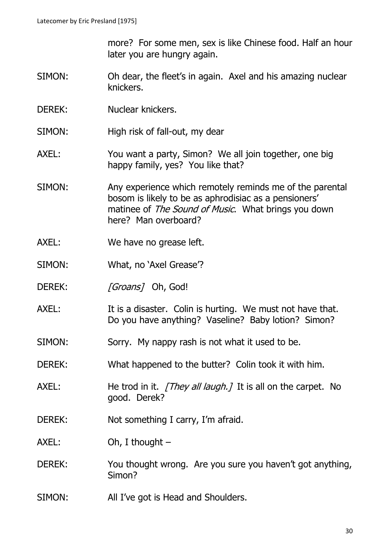more? For some men, sex is like Chinese food. Half an hour later you are hungry again.

- SIMON: Oh dear, the fleet's in again. Axel and his amazing nuclear knickers.
- DEREK: Nuclear knickers.
- SIMON: High risk of fall-out, my dear
- AXEL: You want a party, Simon? We all join together, one big happy family, yes? You like that?
- SIMON: Any experience which remotely reminds me of the parental bosom is likely to be as aphrodisiac as a pensioners' matinee of *The Sound of Music*. What brings you down here? Man overboard?
- AXEL: We have no grease left.
- SIMON: What, no 'Axel Grease'?
- DEREK: [Groans] Oh, God!
- AXEL: It is a disaster. Colin is hurting. We must not have that. Do you have anything? Vaseline? Baby lotion? Simon?
- SIMON: Sorry. My nappy rash is not what it used to be.
- DEREK: What happened to the butter? Colin took it with him.
- AXEL: He trod in it. [They all laugh.] It is all on the carpet. No good. Derek?
- DEREK: Not something I carry, I'm afraid.
- AXEL: Oh, I thought –
- DEREK: You thought wrong. Are you sure you haven't got anything, Simon?
- SIMON: All I've got is Head and Shoulders.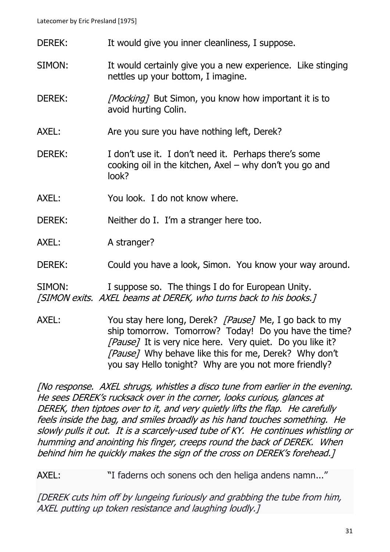- DEREK: It would give you inner cleanliness, I suppose.
- SIMON: It would certainly give you a new experience. Like stinging nettles up your bottom, I imagine.
- DEREK: [Mocking] But Simon, you know how important it is to avoid hurting Colin.
- AXEL: Are you sure you have nothing left, Derek?
- DEREK: I don't use it. I don't need it. Perhaps there's some cooking oil in the kitchen, Axel – why don't you go and look?
- AXEL: You look. I do not know where.
- DEREK: Neither do I. I'm a stranger here too.
- AXEL: A stranger?
- DEREK: Could you have a look, Simon. You know your way around.

SIMON: I suppose so. The things I do for European Unity. [SIMON exits. AXEL beams at DEREK, who turns back to his books.]

AXEL: You stay here long, Derek? [Pause] Me, I go back to my ship tomorrow. Tomorrow? Today! Do you have the time? [Pause] It is very nice here. Very quiet. Do you like it? [Pause] Why behave like this for me, Derek? Why don't you say Hello tonight? Why are you not more friendly?

[No response. AXEL shrugs, whistles a disco tune from earlier in the evening. He sees DEREK's rucksack over in the corner, looks curious, glances at DEREK, then tiptoes over to it, and very quietly lifts the flap. He carefully feels inside the bag, and smiles broadly as his hand touches something. He slowly pulls it out. It is a scarcely-used tube of KY. He continues whistling or humming and anointing his finger, creeps round the back of DEREK. When behind him he quickly makes the sign of the cross on DEREK's forehead.]

AXEL: "I faderns och sonens och den heliga andens namn..."

[DEREK cuts him off by lungeing furiously and grabbing the tube from him, AXEL putting up token resistance and laughing loudly.]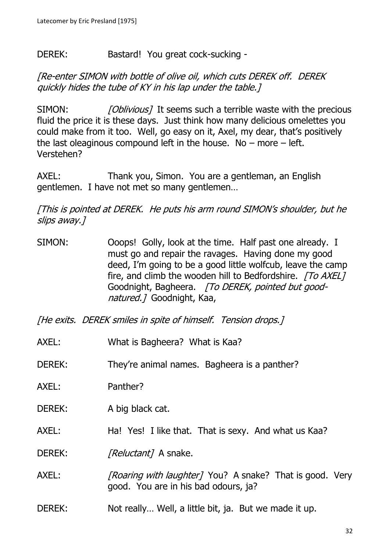## DEREK: Bastard! You great cock-sucking -

[Re-enter SIMON with bottle of olive oil, which cuts DEREK off. DEREK quickly hides the tube of KY in his lap under the table.]

SIMON: [Oblivious] It seems such a terrible waste with the precious fluid the price it is these days. Just think how many delicious omelettes you could make from it too. Well, go easy on it, Axel, my dear, that's positively the last oleaginous compound left in the house. No – more – left. Verstehen?

AXEL: Thank you, Simon. You are a gentleman, an English gentlemen. I have not met so many gentlemen…

[This is pointed at DEREK. He puts his arm round SIMON's shoulder, but he slips away.]

- SIMON: Ooops! Golly, look at the time. Half past one already. I must go and repair the ravages. Having done my good deed, I'm going to be a good little wolfcub, leave the camp fire, and climb the wooden hill to Bedfordshire. [To AXEL] Goodnight, Bagheera. [To DEREK, pointed but goodnatured.1 Goodnight, Kaa,
- [He exits. DEREK smiles in spite of himself. Tension drops.]
- AXEL: What is Bagheera? What is Kaa?
- DEREK: They're animal names. Bagheera is a panther?
- AXEL: Panther?
- DEREK: A big black cat.
- AXEL: Ha! Yes! I like that. That is sexy. And what us Kaa?

DEREK: [Reluctant] A snake.

- AXEL: [Roaring with laughter] You? A snake? That is good. Very good. You are in his bad odours, ja?
- DEREK: Not really... Well, a little bit, ja. But we made it up.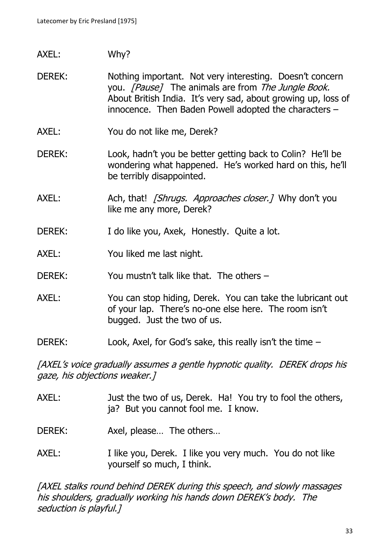- AXEL: Why?
- DEREK: Nothing important. Not very interesting. Doesn't concern you. [Pause] The animals are from The Jungle Book. About British India. It's very sad, about growing up, loss of innocence. Then Baden Powell adopted the characters –
- AXEL: You do not like me, Derek?
- DEREK: Look, hadn't you be better getting back to Colin? He'll be wondering what happened. He's worked hard on this, he'll be terribly disappointed.
- AXEL: Ach, that! [Shrugs. Approaches closer.] Why don't you like me any more, Derek?
- DEREK: I do like you, Axek, Honestly. Quite a lot.
- AXEL: You liked me last night.
- DEREK: You mustn't talk like that. The others –
- AXEL: You can stop hiding, Derek. You can take the lubricant out of your lap. There's no-one else here. The room isn't bugged. Just the two of us.
- DEREK: Look, Axel, for God's sake, this really isn't the time –

[AXEL's voice gradually assumes a gentle hypnotic quality. DEREK drops his gaze, his objections weaker.]

AXEL: Just the two of us, Derek. Ha! You try to fool the others, ja? But you cannot fool me. I know.

DEREK: Axel, please... The others...

AXEL: I like you, Derek. I like you very much. You do not like yourself so much, I think.

[AXEL stalks round behind DEREK during this speech, and slowly massages his shoulders, gradually working his hands down DEREK's body. The seduction is playful.]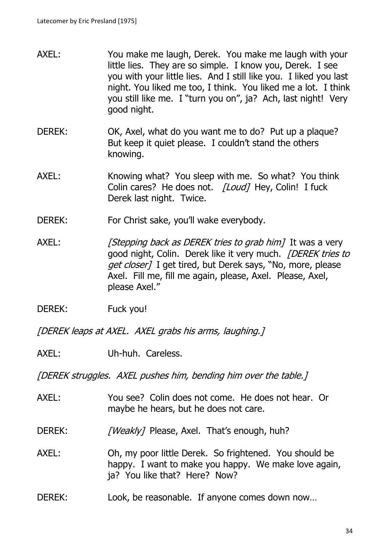- AXEL: You make me laugh, Derek. You make me laugh with your little lies. They are so simple. I know you, Derek. I see you with your little lies. And I still like you. I liked you last night. You liked me too, I think. You liked me a lot. I think you still like me. I "turn you on", ja? Ach, last night! Very good night.
- DEREK: OK, Axel, what do you want me to do? Put up a plaque? But keep it quiet please. I couldn't stand the others knowing.
- AXEL: Knowing what? You sleep with me. So what? You think Colin cares? He does not. *[Loud]* Hey, Colin! I fuck Derek last night. Twice.
- DEREK: For Christ sake, you'll wake everybody.
- AXEL: [Stepping back as DEREK tries to grab him] It was a very good night, Colin. Derek like it very much. *[DEREK tries to* get closer] I get tired, but Derek says, "No, more, please Axel. Fill me, fill me again, please, Axel. Please, Axel, please Axel."
- DEREK: Fuck you!

[DEREK leaps at AXEL. AXEL grabs his arms, laughing.]

AXEL: Uh-huh. Careless.

[DEREK struggles. AXEL pushes him, bending him over the table.]

- AXEL: You see? Colin does not come. He does not hear. Or maybe he hears, but he does not care.
- DEREK: [Weakly] Please, Axel. That's enough, huh?

AXEL: Oh, my poor little Derek. So frightened. You should be happy. I want to make you happy. We make love again, ja? You like that? Here? Now?

DEREK: Look, be reasonable. If anyone comes down now…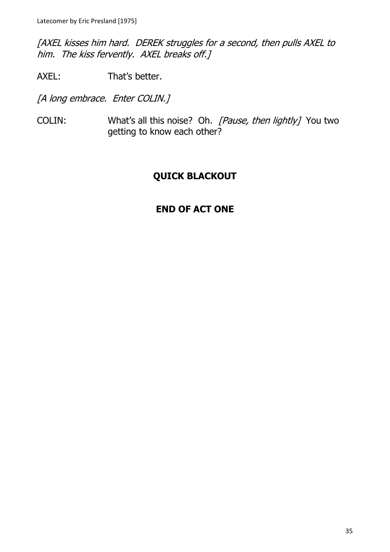[AXEL kisses him hard. DEREK struggles for a second, then pulls AXEL to him. The kiss fervently. AXEL breaks off.]

AXEL: That's better.

[A long embrace. Enter COLIN.]

COLIN: What's all this noise? Oh. [Pause, then lightly] You two getting to know each other?

# **QUICK BLACKOUT**

# **END OF ACT ONE**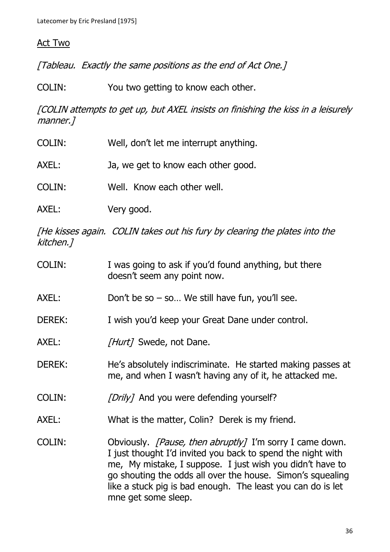### Act Two

[Tableau. Exactly the same positions as the end of Act One.]

COLIN: You two getting to know each other.

[COLIN attempts to get up, but AXEL insists on finishing the kiss in a leisurely manner.]

- COLIN: Well, don't let me interrupt anything.
- AXEL: Ja, we get to know each other good.
- COLIN: Well. Know each other well.
- AXEL: Very good.

[He kisses again. COLIN takes out his fury by clearing the plates into the kitchen.]

- COLIN: I was going to ask if you'd found anything, but there doesn't seem any point now.
- AXEL: Don't be so so... We still have fun, you'll see.
- DEREK: I wish you'd keep your Great Dane under control.
- AXEL: [Hurt] Swede, not Dane.
- DEREK: He's absolutely indiscriminate. He started making passes at me, and when I wasn't having any of it, he attacked me.
- COLIN: [Drily] And you were defending yourself?
- AXEL: What is the matter, Colin? Derek is my friend.
- COLIN: Obviously. *[Pause, then abruptly]* I'm sorry I came down. I just thought I'd invited you back to spend the night with me, My mistake, I suppose. I just wish you didn't have to go shouting the odds all over the house. Simon's squealing like a stuck pig is bad enough. The least you can do is let mne get some sleep.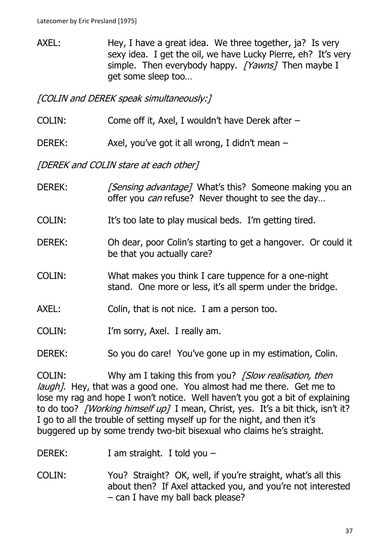AXEL: Hey, I have a great idea. We three together, ja? Is very sexy idea. I get the oil, we have Lucky Pierre, eh? It's very simple. Then everybody happy. [Yawns] Then maybe I get some sleep too…

[COLIN and DEREK speak simultaneously:]

COLIN: Come off it, Axel, I wouldn't have Derek after –

DEREK: Axel, you've got it all wrong, I didn't mean –

[DEREK and COLIN stare at each other]

- DEREK: [Sensing advantage] What's this? Someone making you an offer you *can* refuse? Never thought to see the day...
- COLIN: It's too late to play musical beds. I'm getting tired.
- DEREK: Oh dear, poor Colin's starting to get a hangover. Or could it be that you actually care?
- COLIN: What makes you think I care tuppence for a one-night stand. One more or less, it's all sperm under the bridge.
- AXEL: Colin, that is not nice. I am a person too.
- COLIN: I'm sorry, Axel. I really am.
- DEREK: So you do care! You've gone up in my estimation, Colin.

COLIN: Why am I taking this from you? *[Slow realisation, then* laugh]. Hey, that was a good one. You almost had me there. Get me to lose my rag and hope I won't notice. Well haven't you got a bit of explaining to do too? [Working himself up] I mean, Christ, yes. It's a bit thick, isn't it? I go to all the trouble of setting myself up for the night, and then it's buggered up by some trendy two-bit bisexual who claims he's straight.

DEREK: I am straight. I told you –

COLIN: You? Straight? OK, well, if you're straight, what's all this about then? If Axel attacked you, and you're not interested – can I have my ball back please?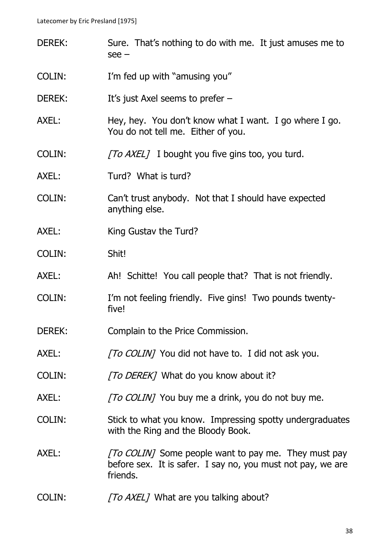| <b>DEREK:</b> | Sure. That's nothing to do with me. It just amuses me to<br>see –                                                                      |
|---------------|----------------------------------------------------------------------------------------------------------------------------------------|
| <b>COLIN:</b> | I'm fed up with "amusing you"                                                                                                          |
| DEREK:        | It's just Axel seems to prefer $-$                                                                                                     |
| AXEL:         | Hey, hey. You don't know what I want. I go where I go.<br>You do not tell me. Either of you.                                           |
| COLIN:        | [To AXEL] I bought you five gins too, you turd.                                                                                        |
| AXEL:         | Turd? What is turd?                                                                                                                    |
| COLIN:        | Can't trust anybody. Not that I should have expected<br>anything else.                                                                 |
| AXEL:         | King Gustav the Turd?                                                                                                                  |
| <b>COLIN:</b> | Shit!                                                                                                                                  |
| AXEL:         | Ah! Schitte! You call people that? That is not friendly.                                                                               |
| <b>COLIN:</b> | I'm not feeling friendly. Five gins! Two pounds twenty-<br>five!                                                                       |
| DEREK:        | Complain to the Price Commission.                                                                                                      |
| AXEL:         | [To COLIN] You did not have to. I did not ask you.                                                                                     |
| COLIN:        | [To DEREK] What do you know about it?                                                                                                  |
| AXEL:         | [To COLIN] You buy me a drink, you do not buy me.                                                                                      |
| COLIN:        | Stick to what you know. Impressing spotty undergraduates<br>with the Ring and the Bloody Book.                                         |
| AXEL:         | <i>[To COLIN]</i> Some people want to pay me. They must pay<br>before sex. It is safer. I say no, you must not pay, we are<br>friends. |
| COLIN:        | [To AXEL] What are you talking about?                                                                                                  |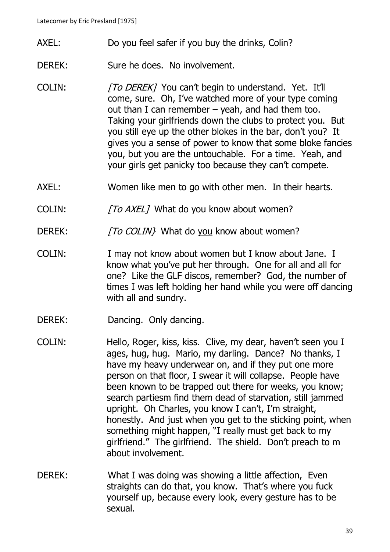AXEL: Do you feel safer if you buy the drinks, Colin?

DEREK: Sure he does. No involvement.

- COLIN: [To DEREK] You can't begin to understand. Yet. It'll come, sure. Oh, I've watched more of your type coming out than I can remember  $-$  yeah, and had them too. Taking your girlfriends down the clubs to protect you. But you still eye up the other blokes in the bar, don't you? It gives you a sense of power to know that some bloke fancies you, but you are the untouchable. For a time. Yeah, and your girls get panicky too because they can't compete.
- AXEL: Women like men to go with other men. In their hearts.
- COLIN: [To AXEL] What do you know about women?
- DEREK:  $\sqrt{TO \text{COLIN}}$  What do you know about women?
- COLIN: I may not know about women but I know about Jane. I know what you've put her through. One for all and all for one? Like the GLF discos, remember? God, the number of times I was left holding her hand while you were off dancing with all and sundry.
- DEREK: Dancing. Only dancing.
- COLIN: Hello, Roger, kiss, kiss. Clive, my dear, haven't seen you I ages, hug, hug. Mario, my darling. Dance? No thanks, I have my heavy underwear on, and if they put one more person on that floor, I swear it will collapse. People have been known to be trapped out there for weeks, you know; search partiesm find them dead of starvation, still jammed upright. Oh Charles, you know I can't, I'm straight, honestly. And just when you get to the sticking point, when something might happen, "I really must get back to my girlfriend." The girlfriend. The shield. Don't preach to m about involvement.
- DEREK: What I was doing was showing a little affection, Even straights can do that, you know. That's where you fuck yourself up, because every look, every gesture has to be sexual.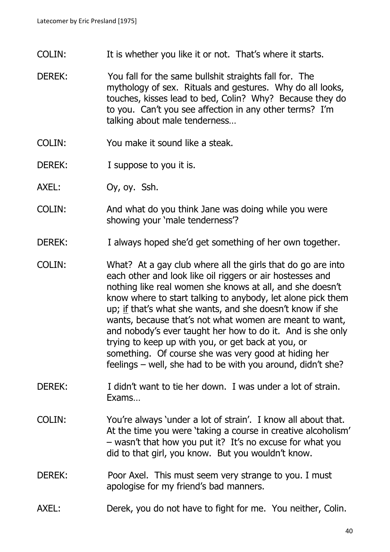- COLIN: It is whether you like it or not. That's where it starts.
- DEREK: You fall for the same bullshit straights fall for. The mythology of sex. Rituals and gestures. Why do all looks, touches, kisses lead to bed, Colin? Why? Because they do to you. Can't you see affection in any other terms? I'm talking about male tenderness…
- COLIN: You make it sound like a steak.
- DEREK: I suppose to you it is.
- AXEL: Oy, oy. Ssh.
- COLIN: And what do you think Jane was doing while you were showing your 'male tenderness'?
- DEREK: I always hoped she'd get something of her own together.
- COLIN: What? At a gay club where all the girls that do go are into each other and look like oil riggers or air hostesses and nothing like real women she knows at all, and she doesn't know where to start talking to anybody, let alone pick them up; if that's what she wants, and she doesn't know if she wants, because that's not what women are meant to want, and nobody's ever taught her how to do it. And is she only trying to keep up with you, or get back at you, or something. Of course she was very good at hiding her feelings – well, she had to be with you around, didn't she?
- DEREK: I didn't want to tie her down. I was under a lot of strain. Exams…
- COLIN: You're always 'under a lot of strain'. I know all about that. At the time you were 'taking a course in creative alcoholism' – wasn't that how you put it? It's no excuse for what you did to that girl, you know. But you wouldn't know.

#### DEREK: Poor Axel. This must seem very strange to you. I must apologise for my friend's bad manners.

AXEL: Derek, you do not have to fight for me. You neither, Colin.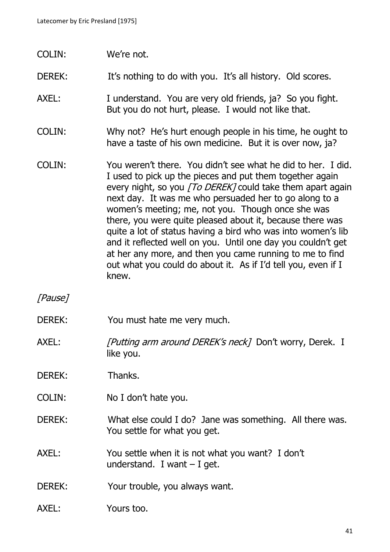COLIN: We're not.

DEREK: It's nothing to do with you. It's all history. Old scores.

- AXEL: I understand. You are very old friends, ja? So you fight. But you do not hurt, please. I would not like that.
- COLIN: Why not? He's hurt enough people in his time, he ought to have a taste of his own medicine. But it is over now, ja?
- COLIN: You weren't there. You didn't see what he did to her. I did. I used to pick up the pieces and put them together again every night, so you [To DEREK] could take them apart again next day. It was me who persuaded her to go along to a women's meeting; me, not you. Though once she was there, you were quite pleased about it, because there was quite a lot of status having a bird who was into women's lib and it reflected well on you. Until one day you couldn't get at her any more, and then you came running to me to find out what you could do about it. As if I'd tell you, even if I knew.

[Pause]

- DEREK: You must hate me very much.
- AXEL: [Putting arm around DEREK's neck] Don't worry, Derek. I like you.

DEREK: Thanks.

- COLIN: No I don't hate you.
- DEREK: What else could I do? Jane was something. All there was. You settle for what you get.
- AXEL: You settle when it is not what you want? I don't understand. I want  $-$  I get.

DEREK: Your trouble, you always want.

AXEL: Yours too.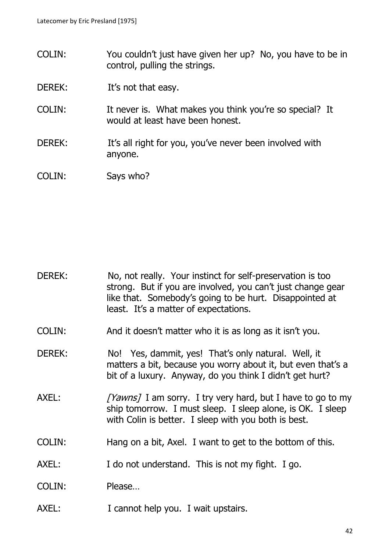- COLIN: You couldn't just have given her up? No, you have to be in control, pulling the strings.
- DEREK: It's not that easy.
- COLIN: It never is. What makes you think you're so special? It would at least have been honest.
- DEREK: It's all right for you, you've never been involved with anyone.
- COLIN: Says who?

- DEREK: No, not really. Your instinct for self-preservation is too strong. But if you are involved, you can't just change gear like that. Somebody's going to be hurt. Disappointed at least. It's a matter of expectations.
- COLIN: And it doesn't matter who it is as long as it isn't you.
- DEREK: No! Yes, dammit, yes! That's only natural. Well, it matters a bit, because you worry about it, but even that's a bit of a luxury. Anyway, do you think I didn't get hurt?
- AXEL:  $[Yawns]$  I am sorry. I try very hard, but I have to go to my ship tomorrow. I must sleep. I sleep alone, is OK. I sleep with Colin is better. I sleep with you both is best.
- COLIN: Hang on a bit, Axel. I want to get to the bottom of this.
- AXEL: I do not understand. This is not my fight. I go.
- COLIN: Please…
- AXEL: I cannot help you. I wait upstairs.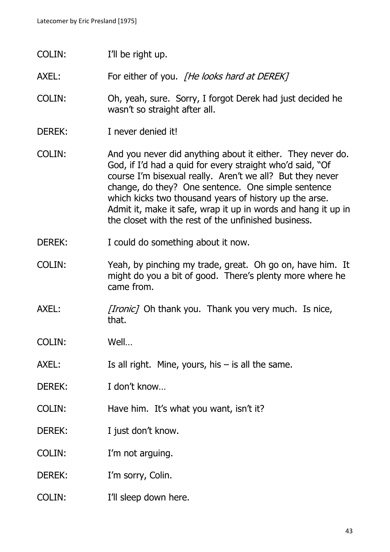COLIN: I'll be right up.

AXEL: For either of you. *[He looks hard at DEREK]* 

- COLIN: Oh, yeah, sure. Sorry, I forgot Derek had just decided he wasn't so straight after all.
- DEREK: I never denied it!
- COLIN: And you never did anything about it either. They never do. God, if I'd had a quid for every straight who'd said, "Of course I'm bisexual really. Aren't we all? But they never change, do they? One sentence. One simple sentence which kicks two thousand years of history up the arse. Admit it, make it safe, wrap it up in words and hang it up in the closet with the rest of the unfinished business.
- DEREK: I could do something about it now.
- COLIN: Yeah, by pinching my trade, great. Oh go on, have him. It might do you a bit of good. There's plenty more where he came from.
- AXEL: [Ironic] Oh thank you. Thank you very much. Is nice, that.
- COLIN: Well…
- AXEL: Is all right. Mine, yours, his  $-$  is all the same.
- DEREK: I don't know...
- COLIN: Have him. It's what you want, isn't it?
- DEREK: I just don't know.
- COLIN: I'm not arguing.
- DEREK: I'm sorry, Colin.
- COLIN: I'll sleep down here.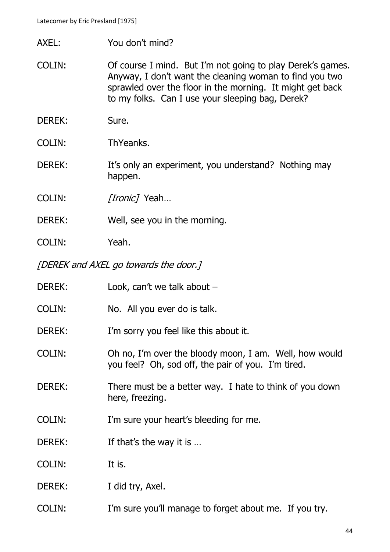- AXEL: You don't mind?
- COLIN: Of course I mind. But I'm not going to play Derek's games. Anyway, I don't want the cleaning woman to find you two sprawled over the floor in the morning. It might get back to my folks. Can I use your sleeping bag, Derek?
- DEREK: Sure.
- COLIN: ThYeanks.
- DEREK: It's only an experiment, you understand? Nothing may happen.

COLIN: [Ironic] Yeah...

- DEREK: Well, see you in the morning.
- COLIN: Yeah.
- [DEREK and AXEL go towards the door.]

| DEREK:        | Look, can't we talk about $-$                                                                                |
|---------------|--------------------------------------------------------------------------------------------------------------|
| COLIN:        | No. All you ever do is talk.                                                                                 |
| DEREK:        | I'm sorry you feel like this about it.                                                                       |
| <b>COLIN:</b> | Oh no, I'm over the bloody moon, I am. Well, how would<br>you feel? Oh, sod off, the pair of you. I'm tired. |
| <b>DEREK:</b> | There must be a better way. I hate to think of you down<br>here, freezing.                                   |
| COLIN:        | I'm sure your heart's bleeding for me.                                                                       |
| DEREK:        | If that's the way it is                                                                                      |
| <b>COLIN:</b> | It is.                                                                                                       |
| DEREK:        | I did try, Axel.                                                                                             |
| COLIN:        | I'm sure you'll manage to forget about me. If you try.                                                       |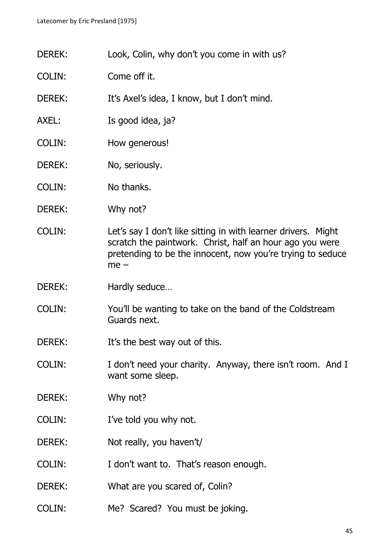- DEREK: Look, Colin, why don't you come in with us?
- COLIN: Come off it.
- DEREK: It's Axel's idea, I know, but I don't mind.
- AXEL: Is good idea, ja?
- COLIN: How generous!
- DEREK: No, seriously.
- COLIN: No thanks.
- DEREK: Why not?
- COLIN: Let's say I don't like sitting in with learner drivers. Might scratch the paintwork. Christ, half an hour ago you were pretending to be the innocent, now you're trying to seduce me –
- DEREK: Hardly seduce...
- COLIN: You'll be wanting to take on the band of the Coldstream Guards next.
- DEREK: It's the best way out of this.
- COLIN: I don't need your charity. Anyway, there isn't room. And I want some sleep.
- DEREK: Why not?
- COLIN: I've told you why not.
- DEREK: Not really, you haven't/
- COLIN: I don't want to. That's reason enough.
- DEREK: What are you scared of, Colin?
- COLIN: Me? Scared? You must be joking.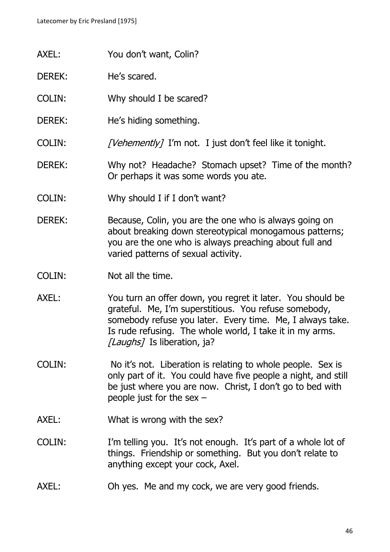- AXEL: You don't want, Colin?
- DEREK: He's scared.
- COLIN: Why should I be scared?
- DEREK: He's hiding something.
- COLIN: [Vehemently] I'm not. I just don't feel like it tonight.
- DEREK: Why not? Headache? Stomach upset? Time of the month? Or perhaps it was some words you ate.
- COLIN: Why should I if I don't want?
- DEREK: Because, Colin, you are the one who is always going on about breaking down stereotypical monogamous patterns; you are the one who is always preaching about full and varied patterns of sexual activity.
- COLIN: Not all the time.
- AXEL: You turn an offer down, you regret it later. You should be grateful. Me, I'm superstitious. You refuse somebody, somebody refuse you later. Every time. Me, I always take. Is rude refusing. The whole world, I take it in my arms. [Laughs] Is liberation, ja?
- COLIN: No it's not. Liberation is relating to whole people. Sex is only part of it. You could have five people a night, and still be just where you are now. Christ, I don't go to bed with people just for the sex –
- AXEL: What is wrong with the sex?
- COLIN: I'm telling you. It's not enough. It's part of a whole lot of things. Friendship or something. But you don't relate to anything except your cock, Axel.
- AXEL: Oh yes. Me and my cock, we are very good friends.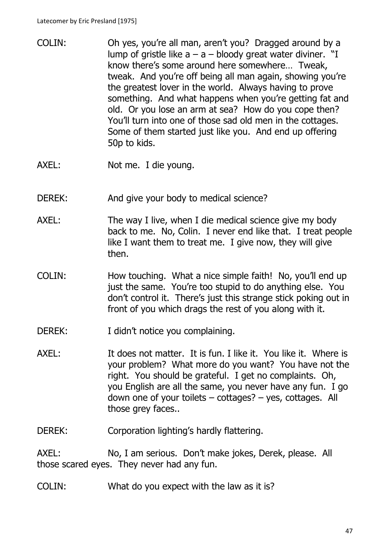- COLIN: Oh yes, you're all man, aren't you? Dragged around by a lump of gristle like  $a - a - b$ loody great water diviner. "I know there's some around here somewhere… Tweak, tweak. And you're off being all man again, showing you're the greatest lover in the world. Always having to prove something. And what happens when you're getting fat and old. Or you lose an arm at sea? How do you cope then? You'll turn into one of those sad old men in the cottages. Some of them started just like you. And end up offering 50p to kids.
- AXEL: Not me. I die young.
- DEREK: And give your body to medical science?
- AXEL: The way I live, when I die medical science give my body back to me. No, Colin. I never end like that. I treat people like I want them to treat me. I give now, they will give then.
- COLIN: How touching. What a nice simple faith! No, you'll end up just the same. You're too stupid to do anything else. You don't control it. There's just this strange stick poking out in front of you which drags the rest of you along with it.
- DEREK: I didn't notice you complaining.
- AXEL: It does not matter. It is fun. I like it. You like it. Where is your problem? What more do you want? You have not the right. You should be grateful. I get no complaints. Oh, you English are all the same, you never have any fun. I go down one of your toilets – cottages? – yes, cottages. All those grey faces..

DEREK: Corporation lighting's hardly flattering.

AXEL: No, I am serious. Don't make jokes, Derek, please. All those scared eyes. They never had any fun.

COLIN: What do you expect with the law as it is?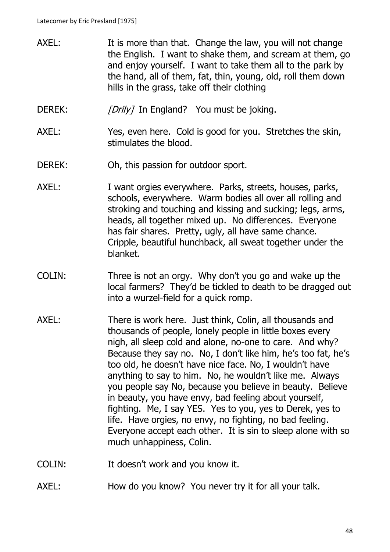- AXEL: It is more than that. Change the law, you will not change the English. I want to shake them, and scream at them, go and enjoy yourself. I want to take them all to the park by the hand, all of them, fat, thin, young, old, roll them down hills in the grass, take off their clothing
- DEREK: [Drily] In England? You must be joking.
- AXEL: Yes, even here. Cold is good for you. Stretches the skin, stimulates the blood.
- DEREK: Oh, this passion for outdoor sport.
- AXEL: I want orgies everywhere. Parks, streets, houses, parks, schools, everywhere. Warm bodies all over all rolling and stroking and touching and kissing and sucking; legs, arms, heads, all together mixed up. No differences. Everyone has fair shares. Pretty, ugly, all have same chance. Cripple, beautiful hunchback, all sweat together under the blanket.
- COLIN: Three is not an orgy. Why don't you go and wake up the local farmers? They'd be tickled to death to be dragged out into a wurzel-field for a quick romp.
- AXEL: There is work here. Just think, Colin, all thousands and thousands of people, lonely people in little boxes every nigh, all sleep cold and alone, no-one to care. And why? Because they say no. No, I don't like him, he's too fat, he's too old, he doesn't have nice face. No, I wouldn't have anything to say to him. No, he wouldn't like me. Always you people say No, because you believe in beauty. Believe in beauty, you have envy, bad feeling about yourself, fighting. Me, I say YES. Yes to you, yes to Derek, yes to life. Have orgies, no envy, no fighting, no bad feeling. Everyone accept each other. It is sin to sleep alone with so much unhappiness, Colin.
- COLIN: It doesn't work and you know it.
- AXEL: How do you know? You never try it for all your talk.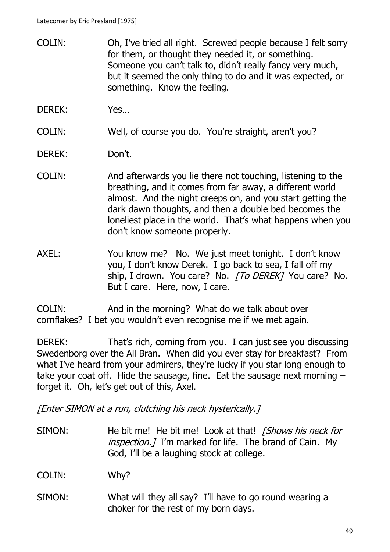- COLIN: Oh, I've tried all right. Screwed people because I felt sorry for them, or thought they needed it, or something. Someone you can't talk to, didn't really fancy very much, but it seemed the only thing to do and it was expected, or something. Know the feeling.
- DEREK: Yes…

COLIN: Well, of course you do. You're straight, aren't you?

- DEREK: Don't.
- COLIN: And afterwards you lie there not touching, listening to the breathing, and it comes from far away, a different world almost. And the night creeps on, and you start getting the dark dawn thoughts, and then a double bed becomes the loneliest place in the world. That's what happens when you don't know someone properly.
- AXEL: You know me? No. We just meet tonight. I don't know you, I don't know Derek. I go back to sea, I fall off my ship, I drown. You care? No. [To DEREK] You care? No. But I care. Here, now, I care.

COLIN: And in the morning? What do we talk about over cornflakes? I bet you wouldn't even recognise me if we met again.

DEREK: That's rich, coming from you. I can just see you discussing Swedenborg over the All Bran. When did you ever stay for breakfast? From what I've heard from your admirers, they're lucky if you star long enough to take your coat off. Hide the sausage, fine. Eat the sausage next morning  $$ forget it. Oh, let's get out of this, Axel.

[Enter SIMON at a run, clutching his neck hysterically.]

SIMON: He bit me! He bit me! Look at that! [Shows his neck for inspection. *I* I'm marked for life. The brand of Cain. My God, I'll be a laughing stock at college.

COLIN: Why?

SIMON: What will they all say? I'll have to go round wearing a choker for the rest of my born days.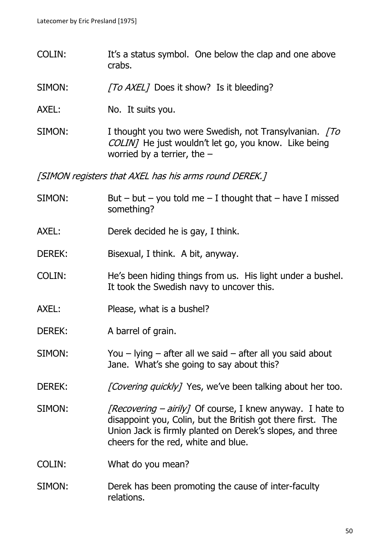- COLIN: It's a status symbol. One below the clap and one above crabs.
- SIMON: [To AXEL] Does it show? Is it bleeding?
- AXEL: No. It suits you.
- SIMON: I thought you two were Swedish, not Transylvanian. [To COLIN] He just wouldn't let go, you know. Like being worried by a terrier, the –

[SIMON registers that AXEL has his arms round DEREK.]

| SIMON:        | But – but – you told me – I thought that – have I missed<br>something?                                                                                                                                                       |
|---------------|------------------------------------------------------------------------------------------------------------------------------------------------------------------------------------------------------------------------------|
| AXEL:         | Derek decided he is gay, I think.                                                                                                                                                                                            |
| <b>DEREK:</b> | Bisexual, I think. A bit, anyway.                                                                                                                                                                                            |
| <b>COLIN:</b> | He's been hiding things from us. His light under a bushel.<br>It took the Swedish navy to uncover this.                                                                                                                      |
| AXEL:         | Please, what is a bushel?                                                                                                                                                                                                    |
| <b>DEREK:</b> | A barrel of grain.                                                                                                                                                                                                           |
| SIMON:        | You $-$ lying $-$ after all we said $-$ after all you said about<br>Jane. What's she going to say about this?                                                                                                                |
| <b>DEREK:</b> | [Covering quickly] Yes, we've been talking about her too.                                                                                                                                                                    |
| SIMON:        | [Recovering – airily] Of course, I knew anyway. I hate to<br>disappoint you, Colin, but the British got there first. The<br>Union Jack is firmly planted on Derek's slopes, and three<br>cheers for the red, white and blue. |
| <b>COLIN:</b> | What do you mean?                                                                                                                                                                                                            |
| SIMON:        | Derek has been promoting the cause of inter-faculty<br>relations.                                                                                                                                                            |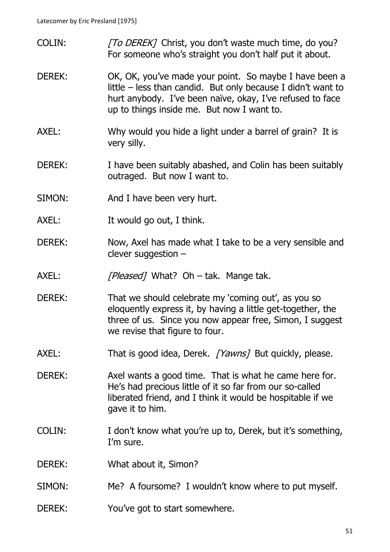- COLIN: [To DEREK] Christ, you don't waste much time, do you? For someone who's straight you don't half put it about.
- DEREK: OK, OK, you've made your point. So maybe I have been a little – less than candid. But only because I didn't want to hurt anybody. I've been naïve, okay, I've refused to face up to things inside me. But now I want to.
- AXEL: Why would you hide a light under a barrel of grain? It is very silly.
- DEREK: I have been suitably abashed, and Colin has been suitably outraged. But now I want to.
- SIMON: And I have been very hurt.
- AXEL: It would go out, I think.
- DEREK: Now, Axel has made what I take to be a very sensible and clever suggestion –
- AXEL: [Pleased] What? Oh tak. Mange tak.
- DEREK: That we should celebrate my 'coming out', as you so eloquently express it, by having a little get-together, the three of us. Since you now appear free, Simon, I suggest we revise that figure to four.
- AXEL: That is good idea, Derek. [Yawns] But quickly, please.
- DEREK: Axel wants a good time. That is what he came here for. He's had precious little of it so far from our so-called liberated friend, and I think it would be hospitable if we gave it to him.
- COLIN: I don't know what you're up to, Derek, but it's something, I'm sure.
- DEREK: What about it, Simon?
- SIMON: Me? A foursome? I wouldn't know where to put myself.
- DEREK: You've got to start somewhere.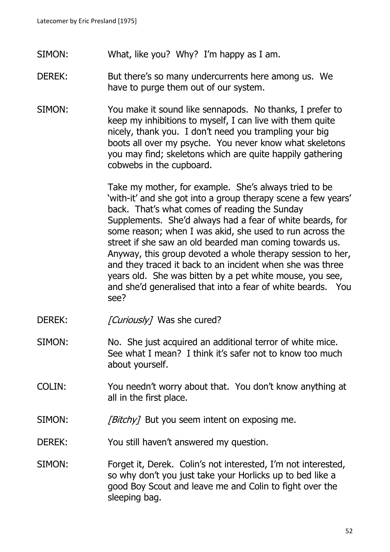- SIMON: What, like you? Why? I'm happy as I am.
- DEREK: But there's so many undercurrents here among us. We have to purge them out of our system.
- SIMON: You make it sound like sennapods. No thanks, I prefer to keep my inhibitions to myself, I can live with them quite nicely, thank you. I don't need you trampling your big boots all over my psyche. You never know what skeletons you may find; skeletons which are quite happily gathering cobwebs in the cupboard.

Take my mother, for example. She's always tried to be 'with-it' and she got into a group therapy scene a few years' back. That's what comes of reading the Sunday Supplements. She'd always had a fear of white beards, for some reason; when I was akid, she used to run across the street if she saw an old bearded man coming towards us. Anyway, this group devoted a whole therapy session to her, and they traced it back to an incident when she was three years old. She was bitten by a pet white mouse, you see, and she'd generalised that into a fear of white beards. You see?

- DEREK: [Curiously] Was she cured?
- SIMON: No. She just acquired an additional terror of white mice. See what I mean? I think it's safer not to know too much about yourself.
- COLIN: You needn't worry about that. You don't know anything at all in the first place.
- $SIMON:$  *[Bitchy]* But you seem intent on exposing me.
- DEREK: You still haven't answered my question.
- SIMON: Forget it, Derek. Colin's not interested, I'm not interested, so why don't you just take your Horlicks up to bed like a good Boy Scout and leave me and Colin to fight over the sleeping bag.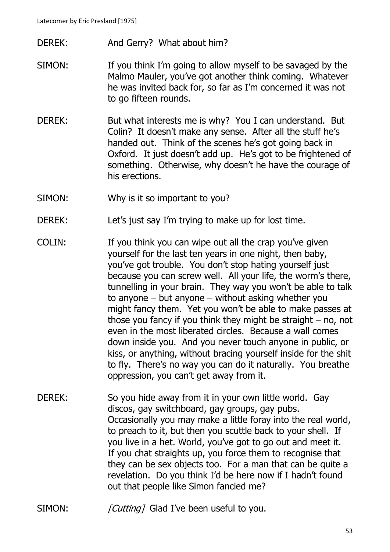- DEREK: And Gerry? What about him?
- SIMON: If you think I'm going to allow myself to be savaged by the Malmo Mauler, you've got another think coming. Whatever he was invited back for, so far as I'm concerned it was not to go fifteen rounds.
- DEREK: But what interests me is why? You I can understand. But Colin? It doesn't make any sense. After all the stuff he's handed out. Think of the scenes he's got going back in Oxford. It just doesn't add up. He's got to be frightened of something. Otherwise, why doesn't he have the courage of his erections.
- SIMON: Why is it so important to you?
- DEREK: Let's just say I'm trying to make up for lost time.
- COLIN: If you think you can wipe out all the crap you've given yourself for the last ten years in one night, then baby, you've got trouble. You don't stop hating yourself just because you can screw well. All your life, the worm's there, tunnelling in your brain. They way you won't be able to talk to anyone – but anyone – without asking whether you might fancy them. Yet you won't be able to make passes at those you fancy if you think they might be straight – no, not even in the most liberated circles. Because a wall comes down inside you. And you never touch anyone in public, or kiss, or anything, without bracing yourself inside for the shit to fly. There's no way you can do it naturally. You breathe oppression, you can't get away from it.
- DEREK: So you hide away from it in your own little world. Gay discos, gay switchboard, gay groups, gay pubs. Occasionally you may make a little foray into the real world, to preach to it, but then you scuttle back to your shell. If you live in a het. World, you've got to go out and meet it. If you chat straights up, you force them to recognise that they can be sex objects too. For a man that can be quite a revelation. Do you think I'd be here now if I hadn't found out that people like Simon fancied me?
- SIMON: [Cutting] Glad I've been useful to you.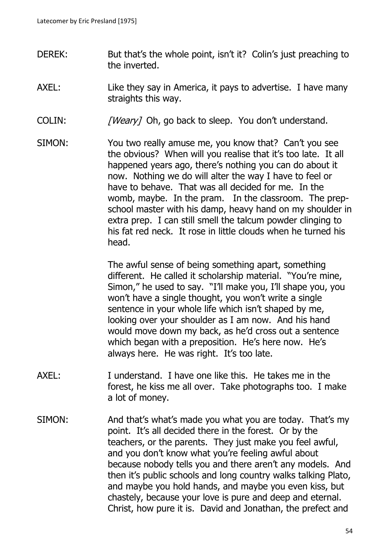- DEREK: But that's the whole point, isn't it? Colin's just preaching to the inverted.
- AXEL: Like they say in America, it pays to advertise. I have many straights this way.
- COLIN: [Weary] Oh, go back to sleep. You don't understand.
- SIMON: You two really amuse me, you know that? Can't you see the obvious? When will you realise that it's too late. It all happened years ago, there's nothing you can do about it now. Nothing we do will alter the way I have to feel or have to behave. That was all decided for me. In the womb, maybe. In the pram. In the classroom. The prepschool master with his damp, heavy hand on my shoulder in extra prep. I can still smell the talcum powder clinging to his fat red neck. It rose in little clouds when he turned his head.

The awful sense of being something apart, something different. He called it scholarship material. "You're mine, Simon," he used to say. "I'll make you, I'll shape you, you won't have a single thought, you won't write a single sentence in your whole life which isn't shaped by me, looking over your shoulder as I am now. And his hand would move down my back, as he'd cross out a sentence which began with a preposition. He's here now. He's always here. He was right. It's too late.

- AXEL: I understand. I have one like this. He takes me in the forest, he kiss me all over. Take photographs too. I make a lot of money.
- SIMON: And that's what's made you what you are today. That's my point. It's all decided there in the forest. Or by the teachers, or the parents. They just make you feel awful, and you don't know what you're feeling awful about because nobody tells you and there aren't any models. And then it's public schools and long country walks talking Plato, and maybe you hold hands, and maybe you even kiss, but chastely, because your love is pure and deep and eternal. Christ, how pure it is. David and Jonathan, the prefect and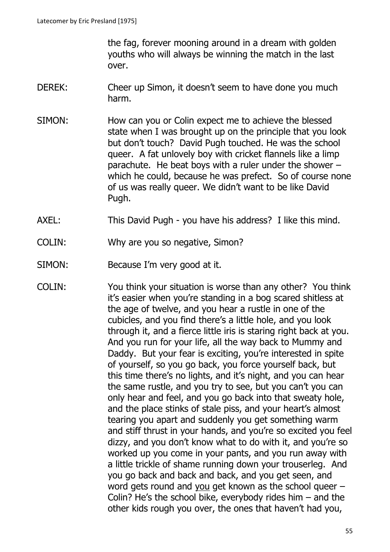the fag, forever mooning around in a dream with golden youths who will always be winning the match in the last over.

- DEREK: Cheer up Simon, it doesn't seem to have done you much harm.
- SIMON: How can you or Colin expect me to achieve the blessed state when I was brought up on the principle that you look but don't touch? David Pugh touched. He was the school queer. A fat unlovely boy with cricket flannels like a limp parachute. He beat boys with a ruler under the shower – which he could, because he was prefect. So of course none of us was really queer. We didn't want to be like David Pugh.
- AXEL: This David Pugh you have his address? I like this mind.
- COLIN: Why are you so negative, Simon?
- SIMON: Because I'm very good at it.
- COLIN: You think your situation is worse than any other? You think it's easier when you're standing in a bog scared shitless at the age of twelve, and you hear a rustle in one of the cubicles, and you find there's a little hole, and you look through it, and a fierce little iris is staring right back at you. And you run for your life, all the way back to Mummy and Daddy. But your fear is exciting, you're interested in spite of yourself, so you go back, you force yourself back, but this time there's no lights, and it's night, and you can hear the same rustle, and you try to see, but you can't you can only hear and feel, and you go back into that sweaty hole, and the place stinks of stale piss, and your heart's almost tearing you apart and suddenly you get something warm and stiff thrust in your hands, and you're so excited you feel dizzy, and you don't know what to do with it, and you're so worked up you come in your pants, and you run away with a little trickle of shame running down your trouserleg. And you go back and back and back, and you get seen, and word gets round and you get known as the school queer – Colin? He's the school bike, everybody rides him – and the other kids rough you over, the ones that haven't had you,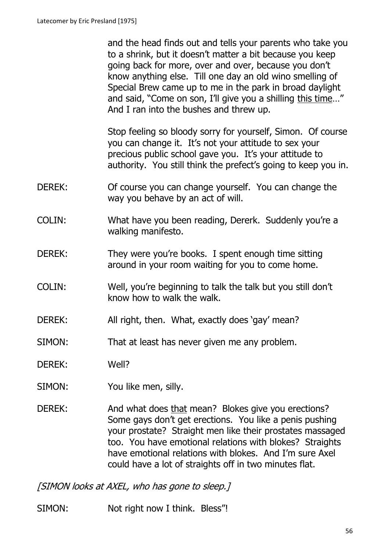and the head finds out and tells your parents who take you to a shrink, but it doesn't matter a bit because you keep going back for more, over and over, because you don't know anything else. Till one day an old wino smelling of Special Brew came up to me in the park in broad daylight and said, "Come on son, I'll give you a shilling this time…" And I ran into the bushes and threw up.

Stop feeling so bloody sorry for yourself, Simon. Of course you can change it. It's not your attitude to sex your precious public school gave you. It's your attitude to authority. You still think the prefect's going to keep you in.

- DEREK: Of course you can change yourself. You can change the way you behave by an act of will.
- COLIN: What have you been reading, Dererk. Suddenly you're a walking manifesto.
- DEREK: They were you're books. I spent enough time sitting around in your room waiting for you to come home.
- COLIN: Well, you're beginning to talk the talk but you still don't know how to walk the walk.
- DEREK: All right, then. What, exactly does 'gay' mean?
- SIMON: That at least has never given me any problem.
- DEREK: Well?
- SIMON: You like men, silly.
- DEREK: And what does that mean? Blokes give you erections? Some gays don't get erections. You like a penis pushing your prostate? Straight men like their prostates massaged too. You have emotional relations with blokes? Straights have emotional relations with blokes. And I'm sure Axel could have a lot of straights off in two minutes flat.

[SIMON looks at AXEL, who has gone to sleep.]

SIMON: Not right now I think. Bless"!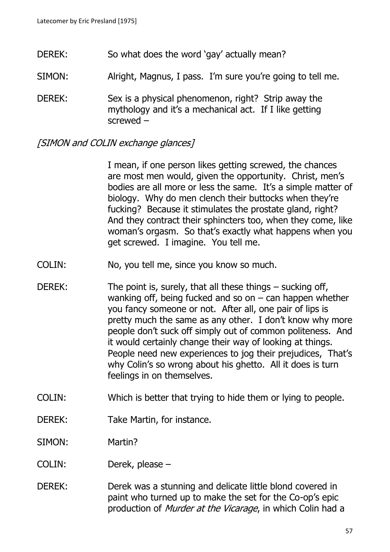- DEREK: So what does the word 'gay' actually mean?
- SIMON: Alright, Magnus, I pass. I'm sure you're going to tell me.

DEREK: Sex is a physical phenomenon, right? Strip away the mythology and it's a mechanical act. If I like getting screwed –

[SIMON and COLIN exchange glances]

I mean, if one person likes getting screwed, the chances are most men would, given the opportunity. Christ, men's bodies are all more or less the same. It's a simple matter of biology. Why do men clench their buttocks when they're fucking? Because it stimulates the prostate gland, right? And they contract their sphincters too, when they come, like woman's orgasm. So that's exactly what happens when you get screwed. I imagine. You tell me.

- COLIN: No, you tell me, since you know so much.
- DEREK: The point is, surely, that all these things sucking off, wanking off, being fucked and so on  $-$  can happen whether you fancy someone or not. After all, one pair of lips is pretty much the same as any other. I don't know why more people don't suck off simply out of common politeness. And it would certainly change their way of looking at things. People need new experiences to jog their prejudices, That's why Colin's so wrong about his ghetto. All it does is turn feelings in on themselves.
- COLIN: Which is better that trying to hide them or lying to people.
- DEREK: Take Martin, for instance.
- SIMON: Martin?
- COLIN: Derek, please –
- DEREK: Derek was a stunning and delicate little blond covered in paint who turned up to make the set for the Co-op's epic production of *Murder at the Vicarage*, in which Colin had a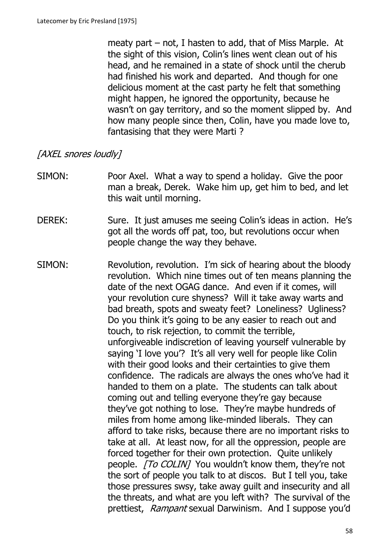meaty part – not, I hasten to add, that of Miss Marple. At the sight of this vision, Colin's lines went clean out of his head, and he remained in a state of shock until the cherub had finished his work and departed. And though for one delicious moment at the cast party he felt that something might happen, he ignored the opportunity, because he wasn't on gay territory, and so the moment slipped by. And how many people since then, Colin, have you made love to, fantasising that they were Marti ?

# [AXEL snores loudly]

- SIMON: Poor Axel. What a way to spend a holiday. Give the poor man a break, Derek. Wake him up, get him to bed, and let this wait until morning.
- DEREK: Sure. It just amuses me seeing Colin's ideas in action. He's got all the words off pat, too, but revolutions occur when people change the way they behave.
- SIMON: Revolution, revolution. I'm sick of hearing about the bloody revolution. Which nine times out of ten means planning the date of the next OGAG dance. And even if it comes, will your revolution cure shyness? Will it take away warts and bad breath, spots and sweaty feet? Loneliness? Ugliness? Do you think it's going to be any easier to reach out and touch, to risk rejection, to commit the terrible, unforgiveable indiscretion of leaving yourself vulnerable by saying 'I love you'? It's all very well for people like Colin with their good looks and their certainties to give them confidence. The radicals are always the ones who've had it handed to them on a plate. The students can talk about coming out and telling everyone they're gay because they've got nothing to lose. They're maybe hundreds of miles from home among like-minded liberals. They can afford to take risks, because there are no important risks to take at all. At least now, for all the oppression, people are forced together for their own protection. Quite unlikely people. [To COLIN] You wouldn't know them, they're not the sort of people you talk to at discos. But I tell you, take those pressures swsy, take away guilt and insecurity and all the threats, and what are you left with? The survival of the prettiest, Rampant sexual Darwinism. And I suppose you'd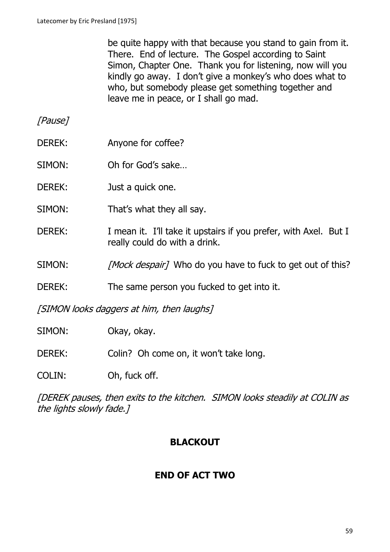be quite happy with that because you stand to gain from it. There. End of lecture. The Gospel according to Saint Simon, Chapter One. Thank you for listening, now will you kindly go away. I don't give a monkey's who does what to who, but somebody please get something together and leave me in peace, or I shall go mad.

[Pause]

- DEREK: Anyone for coffee?
- SIMON: Oh for God's sake…
- DEREK: Just a quick one.
- SIMON: That's what they all say.
- DEREK: I mean it. I'll take it upstairs if you prefer, with Axel. But I really could do with a drink.
- SIMON: [Mock despair] Who do you have to fuck to get out of this?
- DEREK: The same person you fucked to get into it.

[SIMON looks daggers at him, then laughs]

- SIMON: Okay, okay.
- DEREK: Colin? Oh come on, it won't take long.
- COLIN: Oh, fuck off.

[DEREK pauses, then exits to the kitchen. SIMON looks steadily at COLIN as the lights slowly fade.]

## **BLACKOUT**

## **END OF ACT TWO**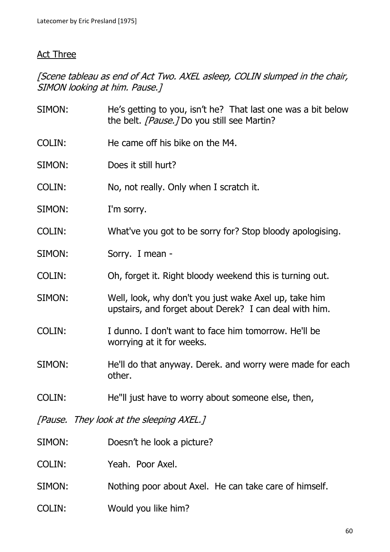#### Act Three

[Scene tableau as end of Act Two. AXEL asleep, COLIN slumped in the chair, SIMON looking at him. Pause.]

| SIMON:        | He's getting to you, isn't he? That last one was a bit below<br>the belt. [Pause.] Do you still see Martin?     |
|---------------|-----------------------------------------------------------------------------------------------------------------|
| <b>COLIN:</b> | He came off his bike on the M4.                                                                                 |
| SIMON:        | Does it still hurt?                                                                                             |
| <b>COLIN:</b> | No, not really. Only when I scratch it.                                                                         |
| SIMON:        | I'm sorry.                                                                                                      |
| COLIN:        | What've you got to be sorry for? Stop bloody apologising.                                                       |
| SIMON:        | Sorry. I mean -                                                                                                 |
| <b>COLIN:</b> | Oh, forget it. Right bloody weekend this is turning out.                                                        |
| SIMON:        | Well, look, why don't you just wake Axel up, take him<br>upstairs, and forget about Derek? I can deal with him. |
| <b>COLIN:</b> | I dunno. I don't want to face him tomorrow. He'll be<br>worrying at it for weeks.                               |
| SIMON:        | He'll do that anyway. Derek. and worry were made for each<br>other.                                             |
| <b>COLIN:</b> | He"II just have to worry about someone else, then,                                                              |
|               | [Pause. They look at the sleeping AXEL.]                                                                        |
| SIMON:        | Doesn't he look a picture?                                                                                      |

COLIN: Yeah. Poor Axel.

- SIMON: Nothing poor about Axel. He can take care of himself.
- COLIN: Would you like him?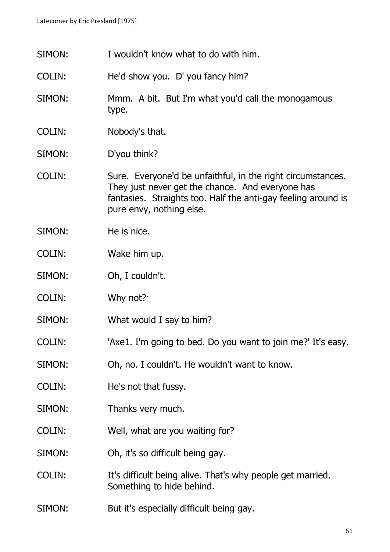SIMON: I wouldn't know what to do with him. COLIN: He'd show you. D' you fancy him? SIMON: Mmm. A bit. But I'm what you'd call the monogamous type. COLIN: Nobody's that. SIMON: D'you think? COLIN: Sure. Everyone'd be unfaithful, in the right circumstances. They just never get the chance. And everyone has fantasies. Straights too. Half the anti-gay feeling around is pure envy, nothing else. SIMON: He is nice. COLIN: Wake him up. SIMON: Oh, I couldn't. COLIN: Why not?· SIMON: What would I say to him? COLIN: 'Axe1. I'm going to bed. Do you want to join me?' It's easy. SIMON: Oh, no. I couldn't. He wouldn't want to know. COLIN: He's not that fussy. SIMON: Thanks very much. COLIN: Well, what are you waiting for? SIMON: Oh, it's so difficult being gay. COLIN: It's difficult being alive. That's why people get married. Something to hide behind. SIMON: But it's especially difficult being gay.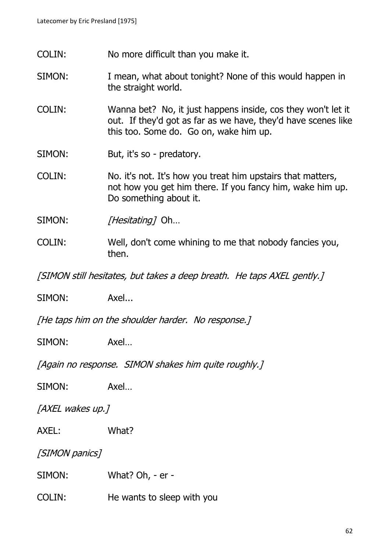- COLIN: No more difficult than you make it.
- SIMON: I mean, what about tonight? None of this would happen in the straight world.
- COLIN: Wanna bet? No, it just happens inside, cos they won't let it out. If they'd got as far as we have, they'd have scenes like this too. Some do. Go on, wake him up.
- SIMON: But, it's so predatory.
- COLIN: No. it's not. It's how you treat him upstairs that matters, not how you get him there. If you fancy him, wake him up. Do something about it.

SIMON: [Hesitating] Oh...

COLIN: Well, don't come whining to me that nobody fancies you, then.

[SIMON still hesitates, but takes a deep breath. He taps AXEL gently.]

SIMON: Axel...

[He taps him on the shoulder harder. No response.]

SIMON: Axel...

[Again no response. SIMON shakes him quite roughly.]

SIMON: Axel...

[AXEL wakes up.]

AXEL: What?

[SIMON panics]

SIMON: What? Oh, - er -

COLIN: He wants to sleep with you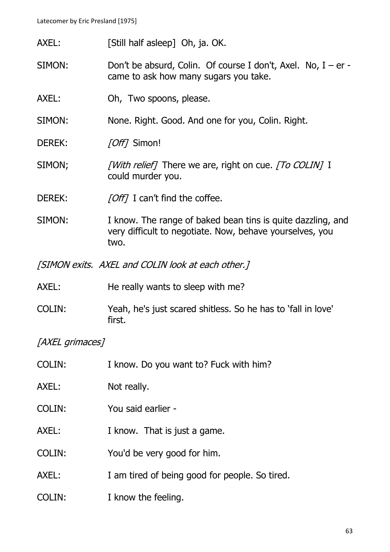Latecomer by Eric Presland [1975]

- AXEL: [Still half asleep] Oh, ja. OK.
- SIMON: Don't be absurd, Colin. Of course I don't, Axel. No,  $I er$ came to ask how many sugars you take.
- AXEL: Oh, Two spoons, please.
- SIMON: None. Right. Good. And one for you, Colin. Right.
- DEREK: [Off] Simon!
- SIMON; [With relief] There we are, right on cue. [To COLIN] I could murder you.
- DEREK: [Off] I can't find the coffee.
- SIMON: I know. The range of baked bean tins is quite dazzling, and very difficult to negotiate. Now, behave yourselves, you two.

[SIMON exits. AXEL and COLIN look at each other.]

- AXEL: He really wants to sleep with me?
- COLIN: Yeah, he's just scared shitless. So he has to 'fall in love' first.

[AXEL grimaces]

| COLIN: | I know. Do you want to? Fuck with him?         |
|--------|------------------------------------------------|
| AXEL:  | Not really.                                    |
| COLIN: | You said earlier -                             |
| AXEL:  | I know. That is just a game.                   |
| COLIN: | You'd be very good for him.                    |
| AXEL:  | I am tired of being good for people. So tired. |
| COLIN: | I know the feeling.                            |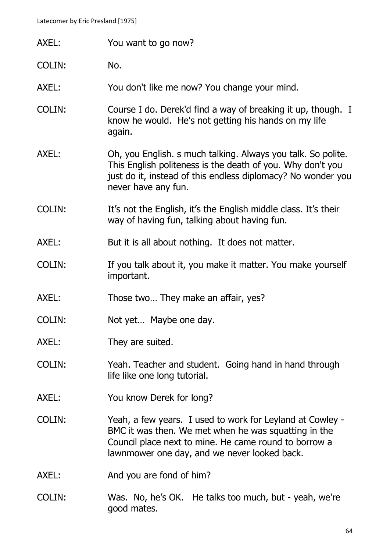- AXEL: You want to go now?
- COLIN: No.
- AXEL: You don't like me now? You change your mind.
- COLIN: Course I do. Derek'd find a way of breaking it up, though. I know he would. He's not getting his hands on my life again.
- AXEL: Oh, you English. s much talking. Always you talk. So polite. This English politeness is the death of you. Why don't you just do it, instead of this endless diplomacy? No wonder you never have any fun.
- COLIN: It's not the English, it's the English middle class. It's their way of having fun, talking about having fun.
- AXEL: But it is all about nothing. It does not matter.
- COLIN: If you talk about it, you make it matter. You make yourself important.
- AXEL: Those two... They make an affair, yes?
- COLIN: Not yet… Maybe one day.
- AXEL: They are suited.
- COLIN: Yeah. Teacher and student. Going hand in hand through life like one long tutorial.
- AXEL: You know Derek for long?
- COLIN: Yeah, a few years. I used to work for Leyland at Cowley BMC it was then. We met when he was squatting in the Council place next to mine. He came round to borrow a lawnmower one day, and we never looked back.
- AXEL: And you are fond of him?
- COLIN: Was. No, he's OK. He talks too much, but yeah, we're good mates.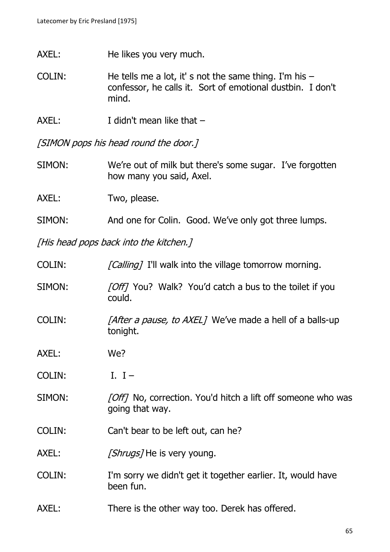- AXEL: He likes you very much.
- COLIN: He tells me a lot, it' s not the same thing. I'm his confessor, he calls it. Sort of emotional dustbin. I don't mind.
- AXEL: I didn't mean like that –

[SIMON pops his head round the door.]

SIMON: We're out of milk but there's some sugar. I've forgotten how many you said, Axel.

AXEL: Two, please.

SIMON: And one for Colin. Good. We've only got three lumps.

[His head pops back into the kitchen.]

COLIN: [Calling] I'll walk into the village tomorrow morning. SIMON: [Off] You? Walk? You'd catch a bus to the toilet if you could. COLIN: [After a pause, to AXEL] We've made a hell of a balls-up tonight. AXEL: We? COLIN: I. I – SIMON: [Off] No, correction. You'd hitch a lift off someone who was going that way. COLIN: Can't bear to be left out, can he? AXEL: [Shrugs] He is very young. COLIN: I'm sorry we didn't get it together earlier. It, would have been fun. AXEL: There is the other way too. Derek has offered.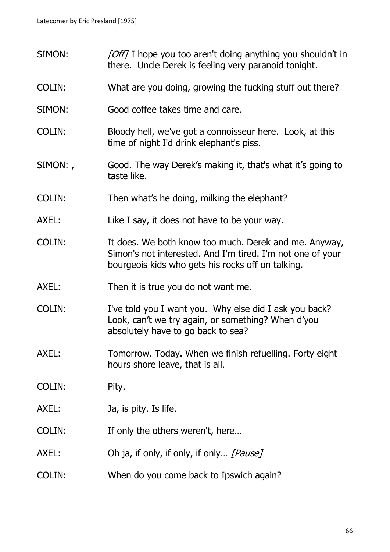- SIMON: [Off] I hope you too aren't doing anything you shouldn't in there. Uncle Derek is feeling very paranoid tonight.
- COLIN: What are you doing, growing the fucking stuff out there?
- SIMON: Good coffee takes time and care.
- COLIN: Bloody hell, we've got a connoisseur here. Look, at this time of night I'd drink elephant's piss.
- SIMON: , Good. The way Derek's making it, that's what it's going to taste like.
- COLIN: Then what's he doing, milking the elephant?
- AXEL: Like I say, it does not have to be your way.
- COLIN: It does. We both know too much. Derek and me. Anyway, Simon's not interested. And I'm tired. I'm not one of your bourgeois kids who gets his rocks off on talking.
- AXEL: Then it is true you do not want me.
- COLIN: I've told you I want you. Why else did I ask you back? Look, can't we try again, or something? When d'you absolutely have to go back to sea?
- AXEL: Tomorrow. Today. When we finish refuelling. Forty eight hours shore leave, that is all.
- COLIN: Pity.
- AXEL: Ja, is pity. Is life.
- COLIN: If only the others weren't, here…
- AXEL: Oh ja, if only, if only, if only... [Pause]
- COLIN: When do you come back to Ipswich again?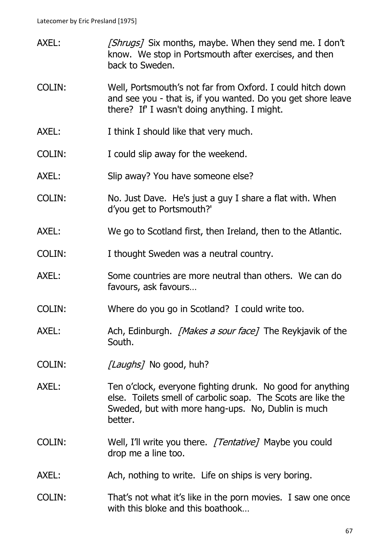- AXEL: [Shrugs] Six months, maybe. When they send me. I don't know. We stop in Portsmouth after exercises, and then back to Sweden.
- COLIN: Well, Portsmouth's not far from Oxford. I could hitch down and see you - that is, if you wanted. Do you get shore leave there? If' I wasn't doing anything. I might.
- AXEL: I think I should like that very much.
- COLIN: I could slip away for the weekend.
- AXEL: Slip away? You have someone else?
- COLIN: No. Just Dave. He's just a guy I share a flat with. When d'you get to Portsmouth?'
- AXEL: We go to Scotland first, then Ireland, then to the Atlantic.
- COLIN: I thought Sweden was a neutral country.
- AXEL: Some countries are more neutral than others. We can do favours, ask favours…
- COLIN: Where do you go in Scotland? I could write too.
- AXEL: Ach, Edinburgh. *[Makes a sour face]* The Reykjavik of the South.
- COLIN: [Laughs] No good, huh?
- AXEL: Ten o'clock, everyone fighting drunk. No good for anything else. Toilets smell of carbolic soap. The Scots are like the Sweded, but with more hang-ups. No, Dublin is much better.
- COLIN: Well, I'll write you there. [Tentative] Maybe you could drop me a line too.
- AXEL: Ach, nothing to write. Life on ships is very boring.
- COLIN: That's not what it's like in the porn movies. I saw one once with this bloke and this boathook…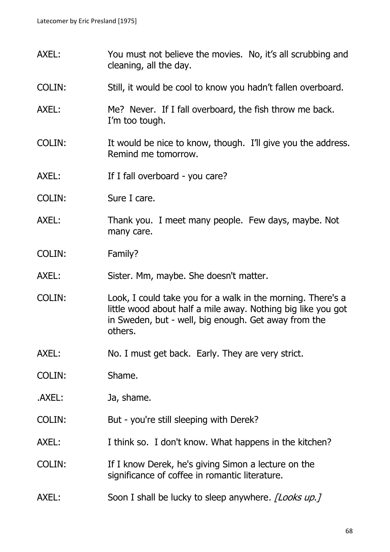- AXEL: You must not believe the movies. No, it's all scrubbing and cleaning, all the day.
- COLIN: Still, it would be cool to know you hadn't fallen overboard.
- AXEL: Me? Never. If I fall overboard, the fish throw me back. I'm too tough.
- COLIN: It would be nice to know, though. I'll give you the address. Remind me tomorrow.
- AXEL: If I fall overboard you care?
- COLIN: Sure I care.
- AXEL: Thank you. I meet many people. Few days, maybe. Not many care.
- COLIN: Family?
- AXEL: Sister. Mm, maybe. She doesn't matter.
- COLIN: Look, I could take you for a walk in the morning. There's a little wood about half a mile away. Nothing big like you got in Sweden, but - well, big enough. Get away from the others.
- AXEL: No. I must get back. Early. They are very strict.
- COLIN: Shame.
- .AXEL: Ja, shame.
- COLIN: But you're still sleeping with Derek?
- AXEL: I think so. I don't know. What happens in the kitchen?
- COLIN: If I know Derek, he's giving Simon a lecture on the significance of coffee in romantic literature.
- AXEL: Soon I shall be lucky to sleep anywhere. *[Looks up.]*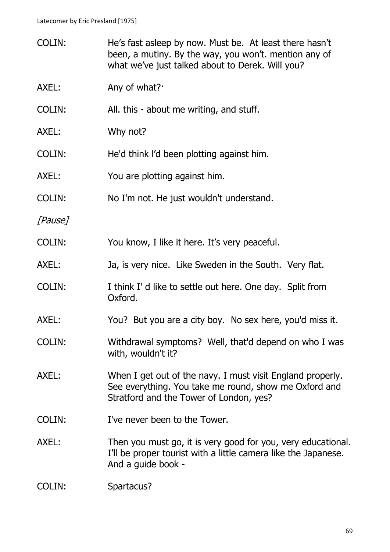| <b>COLIN:</b> | He's fast asleep by now. Must be. At least there hasn't<br>been, a mutiny. By the way, you won't. mention any of<br>what we've just talked about to Derek. Will you? |
|---------------|----------------------------------------------------------------------------------------------------------------------------------------------------------------------|
| AXEL:         | Any of what?                                                                                                                                                         |
| COLIN:        | All. this - about me writing, and stuff.                                                                                                                             |
| AXEL:         | Why not?                                                                                                                                                             |
| COLIN:        | He'd think I'd been plotting against him.                                                                                                                            |
| AXEL:         | You are plotting against him.                                                                                                                                        |
| COLIN:        | No I'm not. He just wouldn't understand.                                                                                                                             |
| [Pause]       |                                                                                                                                                                      |
| COLIN:        | You know, I like it here. It's very peaceful.                                                                                                                        |
| AXEL:         | Ja, is very nice. Like Sweden in the South. Very flat.                                                                                                               |
| <b>COLIN:</b> | I think I' d like to settle out here. One day. Split from<br>Oxford.                                                                                                 |
| AXEL:         | You? But you are a city boy. No sex here, you'd miss it.                                                                                                             |
| COLIN:        | Withdrawal symptoms? Well, that'd depend on who I was<br>with, wouldn't it?                                                                                          |
| AXEL:         | When I get out of the navy. I must visit England properly.<br>See everything. You take me round, show me Oxford and<br>Stratford and the Tower of London, yes?       |
| <b>COLIN:</b> | I've never been to the Tower.                                                                                                                                        |
| AXEL:         | Then you must go, it is very good for you, very educational.<br>I'll be proper tourist with a little camera like the Japanese.<br>And a guide book -                 |
| COLIN:        | Spartacus?                                                                                                                                                           |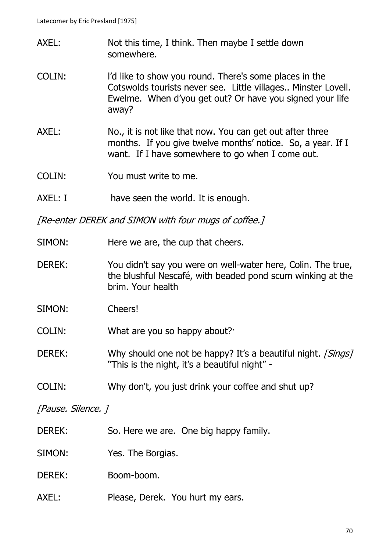- AXEL: Not this time, I think. Then maybe I settle down somewhere.
- COLIN: l'd like to show you round. There's some places in the Cotswolds tourists never see. Little villages.. Minster Lovell. Ewelme. When d'you get out? Or have you signed your life away?
- AXEL: No., it is not like that now. You can get out after three months. If you give twelve months' notice. So, a year. If I want. If I have somewhere to go when I come out.
- COLIN: You must write to me.
- AXEL: I have seen the world. It is enough.

[Re-enter DEREK and SIMON with four mugs of coffee.]

- SIMON: Here we are, the cup that cheers.
- DEREK: You didn't say you were on well-water here, Colin. The true, the blushful Nescafé, with beaded pond scum winking at the brim. Your health
- SIMON: Cheers!

COLIN: What are you so happy about?·

- DEREK: Why should one not be happy? It's a beautiful night. [Sings] "This is the night, it's a beautiful night" -
- COLIN: Why don't, you just drink your coffee and shut up?

[Pause. Silence. ]

- DEREK: So. Here we are. One big happy family.
- SIMON: Yes. The Borgias.

DEREK: Boom-boom.

AXEL: Please, Derek. You hurt my ears.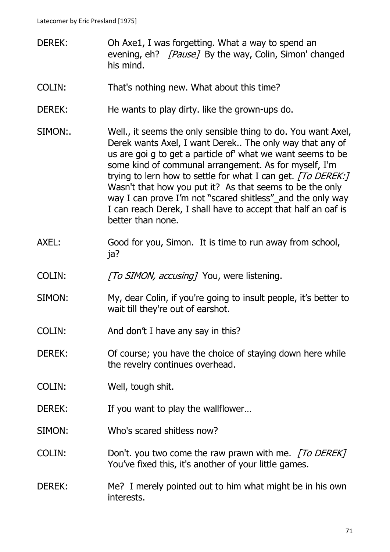- DEREK: Oh Axe1, I was forgetting. What a way to spend an evening, eh? *[Pause]* By the way, Colin, Simon' changed his mind.
- COLIN: That's nothing new. What about this time?
- DEREK: He wants to play dirty. like the grown-ups do.
- SIMON:. Well., it seems the only sensible thing to do. You want Axel, Derek wants Axel, I want Derek.. The only way that any of us are goi g to get a particle of' what we want seems to be some kind of communal arrangement. As for myself, I'm trying to lern how to settle for what I can get. [To DEREK:] Wasn't that how you put it? As that seems to be the only way I can prove I'm not "scared shitless" and the only way I can reach Derek, I shall have to accept that half an oaf is better than none.
- AXEL: Good for you, Simon. It is time to run away from school, ja?
- COLIN: [To SIMON, accusing] You, were listening.
- SIMON: My, dear Colin, if you're going to insult people, it's better to wait till they're out of earshot.
- COLIN: And don't I have any say in this?
- DEREK: Of course; you have the choice of staying down here while the revelry continues overhead.
- COLIN: Well, tough shit.
- DEREK: If you want to play the wallflower...
- SIMON: Who's scared shitless now?
- COLIN: Don't. you two come the raw prawn with me. [To DEREK] You've fixed this, it's another of your little games.
- DEREK: Me? I merely pointed out to him what might be in his own interests.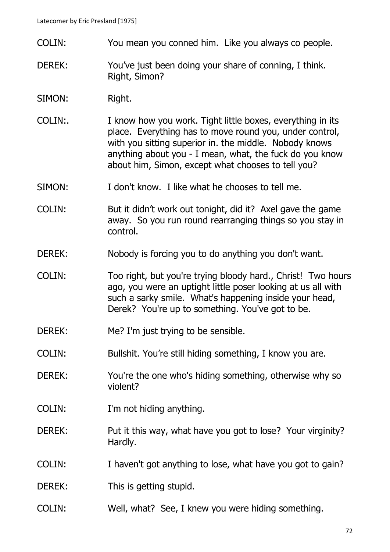- COLIN: You mean you conned him. Like you always co people.
- DEREK: You've just been doing your share of conning, I think. Right, Simon?
- SIMON: Right.
- COLIN:. I know how you work. Tight little boxes, everything in its place. Everything has to move round you, under control, with you sitting superior in. the middle. Nobody knows anything about you - I mean, what, the fuck do you know about him, Simon, except what chooses to tell you?
- SIMON: I don't know. I like what he chooses to tell me.

COLIN: But it didn't work out tonight, did it? Axel gave the game away. So you run round rearranging things so you stay in control.

- DEREK: Nobody is forcing you to do anything you don't want.
- COLIN: Too right, but you're trying bloody hard., Christ! Two hours ago, you were an uptight little poser looking at us all with such a sarky smile. What's happening inside your head, Derek? You're up to something. You've got to be.
- DEREK: Me? I'm just trying to be sensible.
- COLIN: Bullshit. You're still hiding something, I know you are.
- DEREK: You're the one who's hiding something, otherwise why so violent?
- COLIN: I'm not hiding anything.
- DEREK: Put it this way, what have you got to lose? Your virginity? Hardly.
- COLIN: I haven't got anything to lose, what have you got to gain?
- DEREK: This is getting stupid.
- COLIN: Well, what? See, I knew you were hiding something.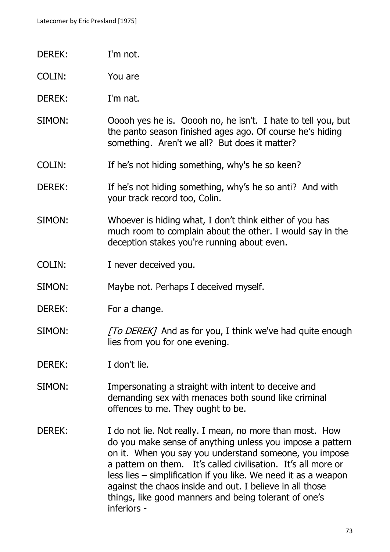- DEREK: I'm not.
- COLIN: You are
- DEREK: I'm nat.
- SIMON: Ooooh yes he is. Ooooh no, he isn't. I hate to tell you, but the panto season finished ages ago. Of course he's hiding something. Aren't we all? But does it matter?
- COLIN: If he's not hiding something, why's he so keen?
- DEREK: If he's not hiding something, why's he so anti? And with your track record too, Colin.
- SIMON: Whoever is hiding what, I don't think either of you has much room to complain about the other. I would say in the deception stakes you're running about even.
- COLIN: I never deceived you.
- SIMON: Maybe not. Perhaps I deceived myself.
- DEREK: For a change.
- SIMON: [To DEREK] And as for you, I think we've had quite enough lies from you for one evening.
- DEREK: I don't lie.
- SIMON: Impersonating a straight with intent to deceive and demanding sex with menaces both sound like criminal offences to me. They ought to be.
- DEREK: I do not lie. Not really. I mean, no more than most. How do you make sense of anything unless you impose a pattern on it. When you say you understand someone, you impose a pattern on them. It's called civilisation. It's all more or less lies – simplification if you like. We need it as a weapon against the chaos inside and out. I believe in all those things, like good manners and being tolerant of one's inferiors -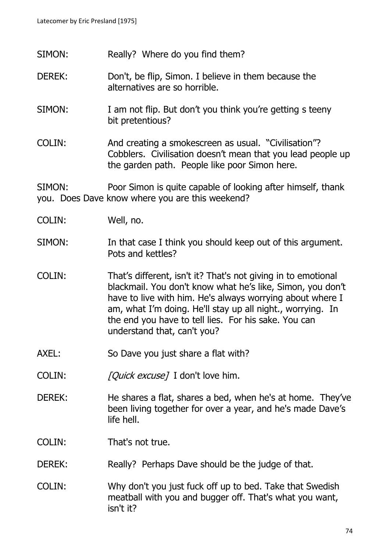- SIMON: Really? Where do you find them?
- DEREK: Don't, be flip, Simon. I believe in them because the alternatives are so horrible.
- SIMON: I am not flip. But don't you think you're getting s teeny bit pretentious?
- COLIN: And creating a smokescreen as usual. "Civilisation"? Cobblers. Civilisation doesn't mean that you lead people up the garden path. People like poor Simon here.

SIMON: Poor Simon is quite capable of looking after himself, thank you. Does Dave know where you are this weekend?

- COLIN: Well, no.
- SIMON: In that case I think you should keep out of this argument. Pots and kettles?
- COLIN: That's different, isn't it? That's not giving in to emotional blackmail. You don't know what he's like, Simon, you don't have to live with him. He's always worrying about where I am, what I'm doing. He'll stay up all night., worrying. In the end you have to tell lies. For his sake. You can understand that, can't you?
- AXEL: So Dave you just share a flat with?
- COLIN: [Quick excuse] I don't love him.
- DEREK: He shares a flat, shares a bed, when he's at home. They've been living together for over a year, and he's made Dave's life hell.
- COLIN: That's not true.
- DEREK: Really? Perhaps Dave should be the judge of that.
- COLIN: Why don't you just fuck off up to bed. Take that Swedish meatball with you and bugger off. That's what you want, isn't it?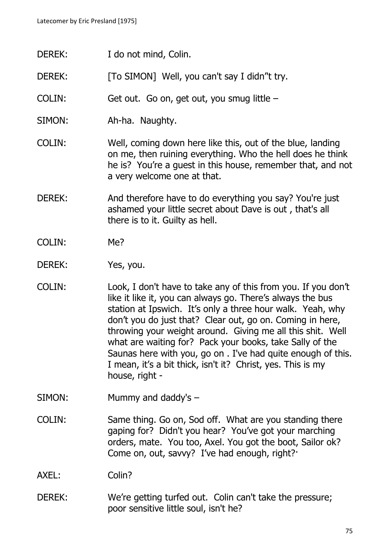- DEREK: I do not mind, Colin.
- DEREK: [To SIMON] Well, you can't say I didn''t try.
- COLIN: Get out. Go on, get out, you smug little –
- SIMON: Ah-ha. Naughty.
- COLIN: Well, coming down here like this, out of the blue, landing on me, then ruining everything. Who the hell does he think he is? You're a guest in this house, remember that, and not a very welcome one at that.
- DEREK: And therefore have to do everything you say? You're just ashamed your little secret about Dave is out , that's all there is to it. Guilty as hell.
- COLIN: Me?
- DEREK: Yes, you.
- COLIN: Look, I don't have to take any of this from you. If you don't like it like it, you can always go. There's always the bus station at Ipswich. It's only a three hour walk. Yeah, why don't you do just that? Clear out, go on. Coming in here, throwing your weight around. Giving me all this shit. Well what are waiting for? Pack your books, take Sally of the Saunas here with you, go on . I've had quite enough of this. I mean, it's a bit thick, isn't it? Christ, yes. This is my house, right -
- SIMON: Mummy and daddy's –
- COLIN: Same thing. Go on, Sod off. What are you standing there gaping for? Didn't you hear? You've got your marching orders, mate. You too, Axel. You got the boot, Sailor ok? Come on, out, savvy? I've had enough, right?·

AXEL: Colin?

DEREK: We're getting turfed out. Colin can't take the pressure; poor sensitive little soul, isn't he?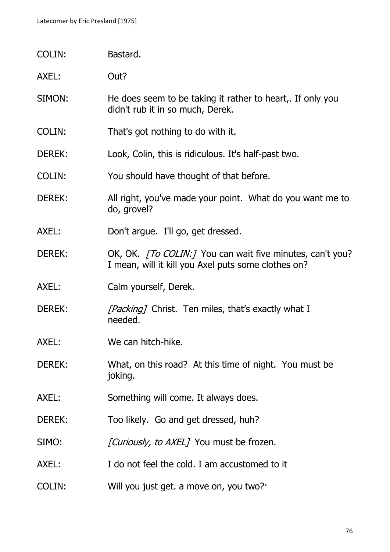COLIN: Bastard.

AXEL: Out?

- SIMON: He does seem to be taking it rather to heart,. If only you didn't rub it in so much, Derek.
- COLIN: That's got nothing to do with it.
- DEREK: Look, Colin, this is ridiculous. It's half-past two.
- COLIN: You should have thought of that before.
- DEREK: All right, you've made your point. What do you want me to do, grovel?
- AXEL: Don't argue. I'll go, get dressed.
- DEREK: OK, OK. [To COLIN:] You can wait five minutes, can't you? I mean, will it kill you Axel puts some clothes on?
- AXEL: Calm yourself, Derek.
- DEREK: [*Packing]* Christ. Ten miles, that's exactly what I needed.
- AXEL: We can hitch-hike.
- DEREK: What, on this road? At this time of night. You must be joking.
- AXEL: Something will come. It always does.
- DEREK: Too likely. Go and get dressed, huh?
- SIMO: [Curiously, to AXEL] You must be frozen.
- AXEL: I do not feel the cold. I am accustomed to it
- COLIN: Will you just get. a move on, you two?·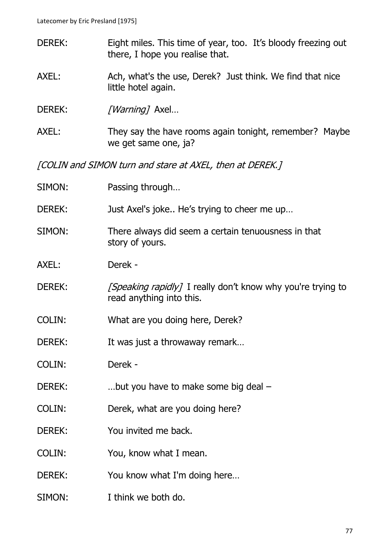- DEREK: Eight miles. This time of year, too. It's bloody freezing out there, I hope you realise that. AXEL: Ach, what's the use, Derek? Just think. We find that nice little hotel again. DEREK: [*Warning*] Axel... AXEL: They say the have rooms again tonight, remember? Maybe we get same one, ja? [COLIN and SIMON turn and stare at AXEL, then at DEREK.] SIMON: Passing through... DEREK: Just Axel's joke.. He's trying to cheer me up… SIMON: There always did seem a certain tenuousness in that story of yours. AXEL: Derek - DEREK:  $[Speaking rapidly]$  I really don't know why you're trying to read anything into this. COLIN: What are you doing here, Derek? DEREK: It was just a throwaway remark... COLIN: Derek - DEREK: ...but you have to make some big deal – COLIN: Derek, what are you doing here? DEREK: You invited me back.
- COLIN: You, know what I mean.
- DEREK: You know what I'm doing here...
- SIMON: I think we both do.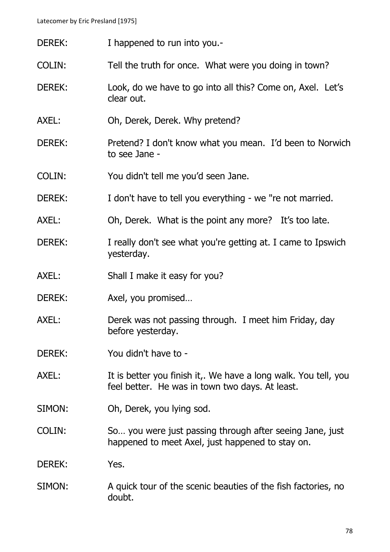- DEREK: I happened to run into you.-
- COLIN: Tell the truth for once. What were you doing in town?
- DEREK: Look, do we have to go into all this? Come on, Axel. Let's clear out.
- AXEL: Oh, Derek, Derek. Why pretend?
- DEREK: Pretend? I don't know what you mean. I'd been to Norwich to see Jane -
- COLIN: You didn't tell me you'd seen Jane.
- DEREK: I don't have to tell you everything we "re not married.
- AXEL: Oh, Derek. What is the point any more? It's too late.
- DEREK: I really don't see what you're getting at. I came to Ipswich yesterday.
- AXEL: Shall I make it easy for you?
- DEREK: Axel, you promised...
- AXEL: Derek was not passing through. I meet him Friday, day before yesterday.
- DEREK: You didn't have to -
- AXEL: It is better you finish it,. We have a long walk. You tell, you feel better. He was in town two days. At least.
- SIMON: Oh, Derek, you lying sod.
- COLIN: So… you were just passing through after seeing Jane, just happened to meet Axel, just happened to stay on.
- DEREK: Yes.
- SIMON: A quick tour of the scenic beauties of the fish factories, no doubt.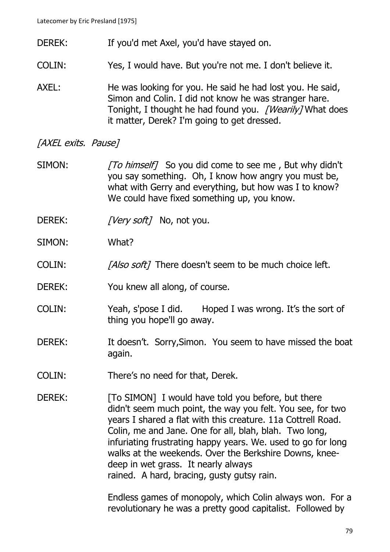- DEREK: If you'd met Axel, you'd have stayed on.
- COLIN: Yes, I would have. But you're not me. I don't believe it.
- AXEL: He was looking for you. He said he had lost you. He said, Simon and Colin. I did not know he was stranger hare. Tonight, I thought he had found you. [Wearily] What does it matter, Derek? I'm going to get dressed.

## [AXEL exits. Pause]

- SIMON: [To himself] So you did come to see me, But why didn't you say something. Oh, I know how angry you must be, what with Gerry and everything, but how was I to know? We could have fixed something up, you know.
- DEREK: [Very soft] No, not you.
- SIMON: What?
- COLIN: [Also soft] There doesn't seem to be much choice left.
- DEREK: You knew all along, of course.
- COLIN: Yeah, s'pose I did. Hoped I was wrong. It's the sort of thing you hope'll go away.
- DEREK: It doesn't. Sorry, Simon. You seem to have missed the boat again.
- COLIN: There's no need for that, Derek.
- DEREK: [To SIMON] I would have told you before, but there didn't seem much point, the way you felt. You see, for two years I shared a flat with this creature. 11a Cottrell Road. Colin, me and Jane. One for all, blah, blah. Two long, infuriating frustrating happy years. We. used to go for long walks at the weekends. Over the Berkshire Downs, kneedeep in wet grass. It nearly always rained. A hard, bracing, gusty gutsy rain.

Endless games of monopoly, which Colin always won. For a revolutionary he was a pretty good capitalist. Followed by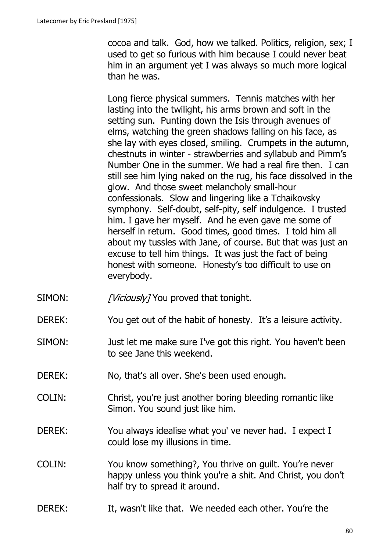cocoa and talk. God, how we talked. Politics, religion, sex; I used to get so furious with him because I could never beat him in an argument yet I was always so much more logical than he was.

Long fierce physical summers. Tennis matches with her lasting into the twilight, his arms brown and soft in the setting sun. Punting down the Isis through avenues of elms, watching the green shadows falling on his face, as she lay with eyes closed, smiling. Crumpets in the autumn, chestnuts in winter - strawberries and syllabub and Pimm's Number One in the summer. We had a real fire then. I can still see him lying naked on the rug, his face dissolved in the glow. And those sweet melancholy small-hour confessionals. Slow and lingering like a Tchaikovsky symphony. Self-doubt, self-pity, self indulgence. I trusted him. I gave her myself. And he even gave me some of herself in return. Good times, good times. I told him all about my tussles with Jane, of course. But that was just an excuse to tell him things. It was just the fact of being honest with someone. Honesty's too difficult to use on everybody.

- SIMON: [Viciously] You proved that tonight.
- DEREK: You get out of the habit of honesty. It's a leisure activity.
- SIMON: Just let me make sure I've got this right. You haven't been to see Jane this weekend.
- DEREK: No, that's all over. She's been used enough.
- COLIN: Christ, you're just another boring bleeding romantic like Simon. You sound just like him.
- DEREK: You always idealise what you' ve never had. I expect I could lose my illusions in time.
- COLIN: You know something?, You thrive on guilt. You're never happy unless you think you're a shit. And Christ, you don't half try to spread it around.
- DEREK: It, wasn't like that. We needed each other. You're the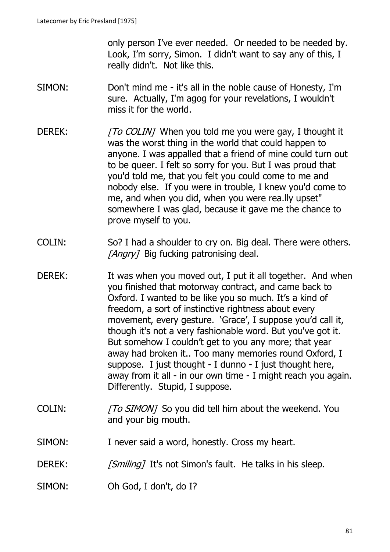only person I've ever needed. Or needed to be needed by. Look, I'm sorry, Simon. I didn't want to say any of this, I really didn't. Not like this.

- SIMON: Don't mind me it's all in the noble cause of Honesty, I'm sure. Actually, I'm agog for your revelations, I wouldn't miss it for the world.
- DEREK: [To COLIN] When you told me you were gay, I thought it was the worst thing in the world that could happen to anyone. I was appalled that a friend of mine could turn out to be queer. I felt so sorry for you. But I was proud that you'd told me, that you felt you could come to me and nobody else. If you were in trouble, I knew you'd come to me, and when you did, when you were rea.lly upset" somewhere I was glad, because it gave me the chance to prove myself to you.
- COLIN: So? I had a shoulder to cry on. Big deal. There were others. [Angry] Big fucking patronising deal.
- DEREK: It was when you moved out, I put it all together. And when you finished that motorway contract, and came back to Oxford. I wanted to be like you so much. It's a kind of freedom, a sort of instinctive rightness about every movement, every gesture. 'Grace', I suppose you'd call it, though it's not a very fashionable word. But you've got it. But somehow I couldn't get to you any more; that year away had broken it.. Too many memories round Oxford, I suppose. I just thought - I dunno - I just thought here, away from it all - in our own time - I might reach you again. Differently. Stupid, I suppose.
- COLIN: [To SIMON] So you did tell him about the weekend. You and your big mouth.
- SIMON: I never said a word, honestly. Cross my heart.
- DEREK: [Smiling] It's not Simon's fault. He talks in his sleep.
- SIMON: Oh God, I don't, do I?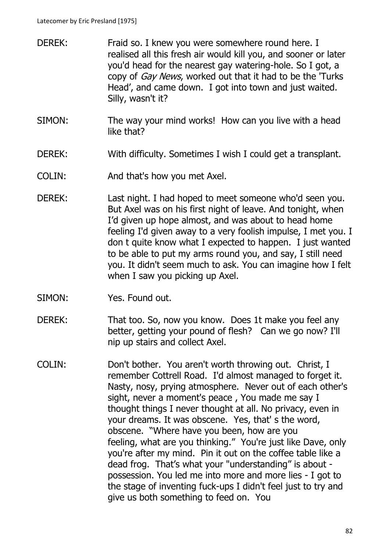- DEREK: Fraid so. I knew you were somewhere round here. I realised all this fresh air would kill you, and sooner or later you'd head for the nearest gay watering-hole. So I got, a copy of *Gay News*, worked out that it had to be the 'Turks' Head', and came down. I got into town and just waited. Silly, wasn't it?
- SIMON: The way your mind works! How can you live with a head like that?
- DEREK: With difficulty. Sometimes I wish I could get a transplant.
- COLIN: And that's how you met Axel.
- DEREK: Last night. I had hoped to meet someone who'd seen you. But Axel was on his first night of leave. And tonight, when I'd given up hope almost, and was about to head home feeling I'd given away to a very foolish impulse, I met you. I don t quite know what I expected to happen. I just wanted to be able to put my arms round you, and say, I still need you. It didn't seem much to ask. You can imagine how I felt when I saw you picking up Axel.
- SIMON: Yes. Found out.
- DEREK: That too. So, now you know. Does 1t make you feel any better, getting your pound of flesh? Can we go now? I'll nip up stairs and collect Axel.
- COLIN: Don't bother. You aren't worth throwing out. Christ, I remember Cottrell Road. I'd almost managed to forget it. Nasty, nosy, prying atmosphere. Never out of each other's sight, never a moment's peace , You made me say I thought things I never thought at all. No privacy, even in your dreams. It was obscene. Yes, that' s the word, obscene. "Where have you been, how are you feeling, what are you thinking." You're just like Dave, only you're after my mind. Pin it out on the coffee table like a dead frog. That's what your "understanding" is about possession. You led me into more and more lies - I got to the stage of inventing fuck-ups I didn't feel just to try and give us both something to feed on. You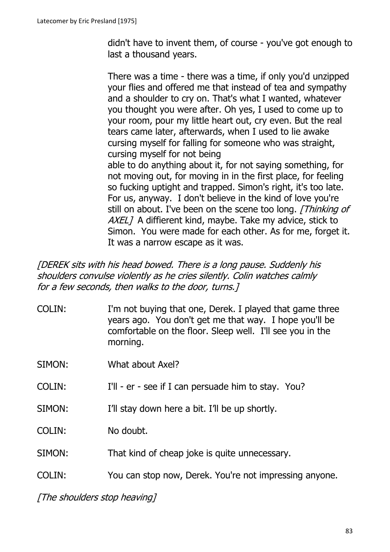didn't have to invent them, of course - you've got enough to last a thousand years.

There was a time - there was a time, if only you'd unzipped your flies and offered me that instead of tea and sympathy and a shoulder to cry on. That's what I wanted, whatever you thought you were after. Oh yes, I used to come up to your room, pour my little heart out, cry even. But the real tears came later, afterwards, when I used to lie awake cursing myself for falling for someone who was straight, cursing myself for not being able to do anything about it, for not saying something, for not moving out, for moving in in the first place, for feeling so fucking uptight and trapped. Simon's right, it's too late. For us, anyway. I don't believe in the kind of love you're still on about. I've been on the scene too long. [Thinking of AXEL] A diffierent kind, maybe. Take my advice, stick to Simon. You were made for each other. As for me, forget it.

[DEREK sits with his head bowed. There is a long pause. Suddenly his shoulders convulse violently as he cries silently. Colin watches calmly for a few seconds, then walks to the door, turns.]

It was a narrow escape as it was.

- COLIN: I'm not buying that one, Derek. I played that game three years ago. You don't get me that way. I hope you'll be comfortable on the floor. Sleep well. I'll see you in the morning.
- SIMON: What about Axel?
- COLIN: I'll er see if I can persuade him to stay. You?
- SIMON: I'll stay down here a bit. I'll be up shortly.
- COLIN: No doubt.
- SIMON: That kind of cheap joke is quite unnecessary.
- COLIN: You can stop now, Derek. You're not impressing anyone.

[The shoulders stop heaving]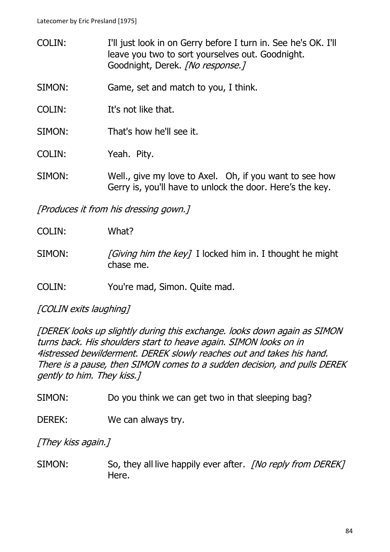COLIN: I'll just look in on Gerry before I turn in. See he's OK. I'll leave you two to sort yourselves out. Goodnight. Goodnight, Derek. [No response.] SIMON: Game, set and match to you, I think. COLIN: It's not like that. SIMON: That's how he'll see it. COLIN: Yeah. Pity. SIMON: Well., give my love to Axel. Oh, if you want to see how Gerry is, you'll have to unlock the door. Here's the key.

[Produces it from his dressing gown.]

| <b>COLIN:</b> | What? |
|---------------|-------|
|---------------|-------|

- SIMON:  $\int Giving \, him \, the \, key \, J$  I locked him in. I thought he might chase me.
- COLIN: You're mad, Simon. Quite mad.

[COLIN exits laughing]

[DEREK looks up slightly during this exchange. looks down again as SIMON turns back. His shoulders start to heave again. SIMON looks on in 4istressed bewilderment. DEREK slowly reaches out and takes his hand. There is a pause, then SIMON comes to a sudden decision, and pulls DEREK gently to him. They kiss.]

SIMON: Do you think we can get two in that sleeping bag?

DEREK: We can always try.

[They kiss again.]

SIMON: So, they all live happily ever after. *[No reply from DEREK]* Here.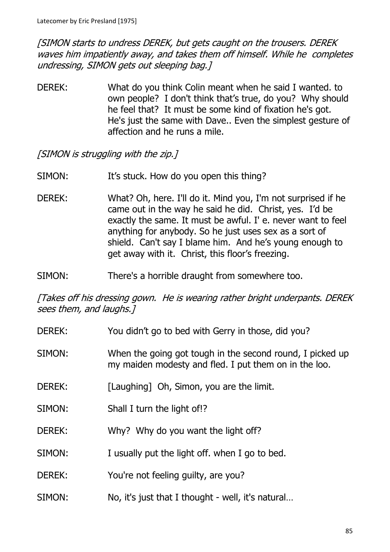[SIMON starts to undress DEREK, but gets caught on the trousers. DEREK waves him impatiently away, and takes them off himself. While he completes undressing, SIMON gets out sleeping bag.]

DEREK: What do you think Colin meant when he said I wanted. to own people? I don't think that's true, do you? Why should he feel that? It must be some kind of fixation he's got. He's just the same with Dave.. Even the simplest gesture of affection and he runs a mile.

[SIMON is struggling with the zip.]

- SIMON: It's stuck. How do you open this thing?
- DEREK: What? Oh, here. I'll do it. Mind you, I'm not surprised if he came out in the way he said he did. Christ, yes. I'd be exactly the same. It must be awful. I' e. never want to feel anything for anybody. So he just uses sex as a sort of shield. Can't say I blame him. And he's young enough to get away with it. Christ, this floor's freezing.
- SIMON: There's a horrible draught from somewhere too.

[Takes off his dressing gown. He is wearing rather bright underpants. DEREK sees them, and laughs.]

- DEREK: You didn't go to bed with Gerry in those, did you?
- SIMON: When the going got tough in the second round, I picked up my maiden modesty and fled. I put them on in the loo.
- DEREK: [Laughing] Oh, Simon, you are the limit.
- SIMON: Shall I turn the light of!?
- DEREK: Why? Why do you want the light off?
- SIMON: I usually put the light off. when I go to bed.
- DEREK: You're not feeling quilty, are you?
- SIMON: No, it's just that I thought well, it's natural…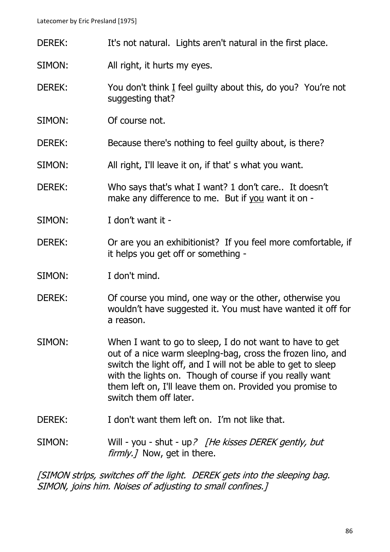- DEREK: It's not natural. Lights aren't natural in the first place.
- SIMON: All right, it hurts my eyes.
- DEREK: You don't think I feel guilty about this, do you? You're not suggesting that?
- SIMON: Of course not.
- DEREK: Because there's nothing to feel quilty about, is there?
- SIMON: All right, I'll leave it on, if that's what you want.
- DEREK: Who says that's what I want? 1 don't care.. It doesn't make any difference to me. But if you want it on -
- SIMON: I don't want it -
- DEREK: Or are you an exhibitionist? If you feel more comfortable, if it helps you get off or something -
- SIMON: I don't mind.
- DEREK: Of course you mind, one way or the other, otherwise you wouldn't have suggested it. You must have wanted it off for a reason.
- SIMON: When I want to go to sleep, I do not want to have to get out of a nice warm sleeplng-bag, cross the frozen lino, and switch the light off, and I will not be able to get to sleep with the lights on. Though of course if you really want them left on, I'll leave them on. Provided you promise to switch them off later.
- DEREK: I don't want them left on. I'm not like that.
- SIMON: Will you shut up? [He kisses DEREK gently, but  $f\llbracket r\llbracket m/r \rrbracket$  Now, get in there.

[SIMON strlps, switches off the light. DEREK gets into the sleeping bag. SIMON, joins him. Noises of adjusting to small confines.]